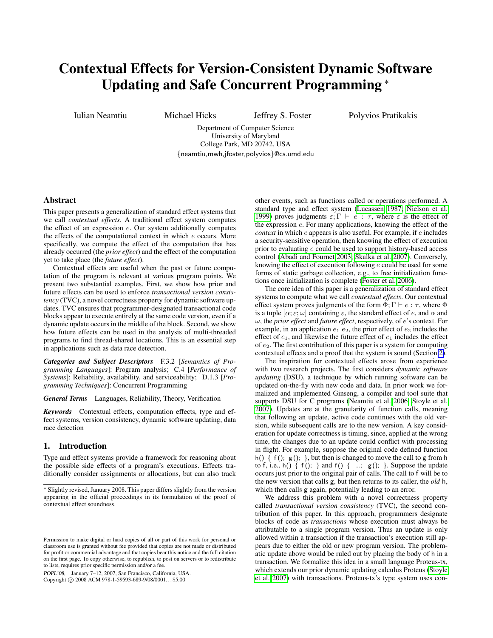# Contextual Effects for Version-Consistent Dynamic Software Updating and Safe Concurrent Programming <sup>∗</sup>

Iulian Neamtiu Michael Hicks Jeffrey S. Foster Polyvios Pratikakis

Department of Computer Science University of Maryland College Park, MD 20742, USA {neamtiu,mwh,jfoster,polyvios}@cs.umd.edu

# Abstract

This paper presents a generalization of standard effect systems that we call *contextual effects*. A traditional effect system computes the effect of an expression  $e$ . Our system additionally computes the effects of the computational context in which e occurs. More specifically, we compute the effect of the computation that has already occurred (the *prior effect*) and the effect of the computation yet to take place (the *future effect*).

Contextual effects are useful when the past or future computation of the program is relevant at various program points. We present two substantial examples. First, we show how prior and future effects can be used to enforce *transactional version consistency* (TVC), a novel correctness property for dynamic software updates. TVC ensures that programmer-designated transactional code blocks appear to execute entirely at the same code version, even if a dynamic update occurs in the middle of the block. Second, we show how future effects can be used in the analysis of multi-threaded programs to find thread-shared locations. This is an essential step in applications such as data race detection.

*Categories and Subject Descriptors* F.3.2 [*Semantics of Programming Languages*]: Program analysis; C.4 [*Performance of Systems*]: Reliability, availability, and serviceability; D.1.3 [*Programming Techniques*]: Concurrent Programming

*General Terms* Languages, Reliability, Theory, Verification

*Keywords* Contextual effects, computation effects, type and effect systems, version consistency, dynamic software updating, data race detection

## 1. Introduction

Type and effect systems provide a framework for reasoning about the possible side effects of a program's executions. Effects traditionally consider assignments or allocations, but can also track

POPL'08, January 7–12, 2007, San Francisco, California, USA.

Copyright © 2008 ACM 978-1-59593-689-9/08/0001... \$5.00

other events, such as functions called or operations performed. A standard type and effect system [\(Lucassen 1987;](#page-12-0) [Nielson et al.](#page-12-1) [1999\)](#page-12-1) proves judgments  $\varepsilon$ ; Γ  $\vdash e : \tau$ , where  $\varepsilon$  is the effect of the expression e. For many applications, knowing the effect of the *context* in which e appears is also useful. For example, if e includes a security-sensitive operation, then knowing the effect of execution prior to evaluating e could be used to support history-based access control [\(Abadi and Fournet 2003;](#page-12-2) [Skalka et al. 2007\)](#page-12-3). Conversely, knowing the effect of execution following e could be used for some forms of static garbage collection, e.g., to free initialization functions once initialization is complete [\(Foster et al. 2006\)](#page-12-4).

The core idea of this paper is a generalization of standard effect systems to compute what we call *contextual effects*. Our contextual effect system proves judgments of the form  $\Phi$ ;  $\Gamma \vdash e : \tau$ , where  $\Phi$ is a tuple  $[\alpha; \varepsilon; \omega]$  containing  $\varepsilon$ , the standard effect of e, and  $\alpha$  and ω, the *prior effect* and *future effect*, respectively, of e's context. For example, in an application  $e_1$   $e_2$ , the prior effect of  $e_2$  includes the effect of  $e_1$ , and likewise the future effect of  $e_1$  includes the effect of  $e_2$ . The first contribution of this paper is a system for computing contextual effects and a proof that the system is sound (Section [2\)](#page-1-0).

The inspiration for contextual effects arose from experience with two research projects. The first considers *dynamic software updating* (DSU), a technique by which running software can be updated on-the-fly with new code and data. In prior work we formalized and implemented Ginseng, a compiler and tool suite that supports DSU for C programs [\(Neamtiu et al. 2006;](#page-12-5) [Stoyle et al.](#page-12-6) [2007\)](#page-12-6). Updates are at the granularity of function calls, meaning that following an update, active code continues with the old version, while subsequent calls are to the new version. A key consideration for update correctness is timing, since, applied at the wrong time, the changes due to an update could conflict with processing in flight. For example, suppose the original code defined function h() {  $f()$ ;  $g()$ ; }, but then is changed to move the call to g from h to f, i.e., h()  $\{f(t)\}$  and  $f(t)$   $\{...;\ g(t)\}$ . Suppose the update occurs just prior to the original pair of calls. The call to f will be to the new version that calls g, but then returns to its caller, the *old* h, which then calls g again, potentially leading to an error.

We address this problem with a novel correctness property called *transactional version consistency* (TVC), the second contribution of this paper. In this approach, programmers designate blocks of code as *transactions* whose execution must always be attributable to a single program version. Thus an update is only allowed within a transaction if the transaction's execution still appears due to either the old or new program version. The problematic update above would be ruled out by placing the body of h in a transaction. We formalize this idea in a small language Proteus-tx, which extends our prior dynamic updating calculus Proteus [\(Stoyle](#page-12-6) [et al. 2007\)](#page-12-6) with transactions. Proteus-tx's type system uses con-

<sup>∗</sup> Slightly revised, January 2008. This paper differs slightly from the version appearing in the official proceedings in its formulation of the proof of contextual effect soundness.

Permission to make digital or hard copies of all or part of this work for personal or classroom use is granted without fee provided that copies are not made or distributed for profit or commercial advantage and that copies bear this notice and the full citation on the first page. To copy otherwise, to republish, to post on servers or to redistribute to lists, requires prior specific permission and/or a fee.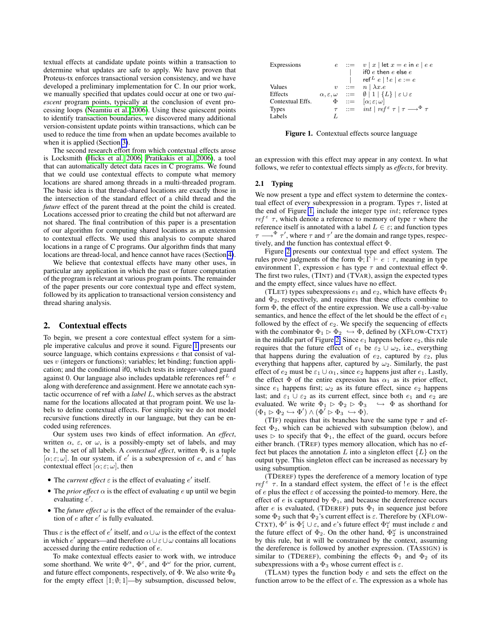textual effects at candidate update points within a transaction to determine what updates are safe to apply. We have proven that Proteus-tx enforces transactional version consistency, and we have developed a preliminary implementation for C. In our prior work, we manually specified that updates could occur at one or two *quiescent* program points, typically at the conclusion of event processing loops [\(Neamtiu et al. 2006\)](#page-12-5). Using these quiescent points to identify transaction boundaries, we discovered many additional version-consistent update points within transactions, which can be used to reduce the time from when an update becomes available to when it is applied (Section [3\)](#page-4-0).

The second research effort from which contextual effects arose is Locksmith [\(Hicks et al. 2006;](#page-12-7) [Pratikakis et al. 2006\)](#page-12-8), a tool that can automatically detect data races in C programs. We found that we could use contextual effects to compute what memory locations are shared among threads in a multi-threaded program. The basic idea is that thread-shared locations are exactly those in the intersection of the standard effect of a child thread and the *future* effect of the parent thread at the point the child is created. Locations accessed prior to creating the child but not afterward are not shared. The final contribution of this paper is a presentation of our algorithm for computing shared locations as an extension to contextual effects. We used this analysis to compute shared locations in a range of C programs. Our algorithm finds that many locations are thread-local, and hence cannot have races (Section [4\)](#page-9-0).

We believe that contextual effects have many other uses, in particular any application in which the past or future computation of the program is relevant at various program points. The remainder of the paper presents our core contextual type and effect system, followed by its application to transactional version consistency and thread sharing analysis.

## <span id="page-1-0"></span>2. Contextual effects

To begin, we present a core contextual effect system for a simple imperative calculus and prove it sound. Figure [1](#page-1-1) presents our source language, which contains expressions e that consist of values  $v$  (integers or functions); variables; let binding; function application; and the conditional if0, which tests its integer-valued guard against 0. Our language also includes updatable references ref $^L$  e along with dereference and assignment. Here we annotate each syntactic occurrence of ref with a *label* L, which serves as the abstract name for the locations allocated at that program point. We use labels to define contextual effects. For simplicity we do not model recursive functions directly in our language, but they can be encoded using references.

Our system uses two kinds of effect information. An *effect*, written  $\alpha$ ,  $\varepsilon$ , or  $\omega$ , is a possibly-empty set of labels, and may be 1, the set of all labels. A *contextual effect*, written Φ, is a tuple [ $\alpha$ ;  $\varepsilon$ ;  $\omega$ ]. In our system, if e' is a subexpression of e, and e' has contextual effect  $[\alpha; \varepsilon; \omega]$ , then

- The *current effect*  $\varepsilon$  is the effect of evaluating  $e'$  itself.
- The *prior effect*  $\alpha$  is the effect of evaluating  $e$  up until we begin evaluating  $e'$ .
- The *future effect*  $\omega$  is the effect of the remainder of the evaluation of  $e$  after  $e'$  is fully evaluated.

Thus  $\varepsilon$  is the effect of e' itself, and  $\alpha \cup \omega$  is the effect of the context in which e' appears—and therefore  $\alpha \cup \epsilon \cup \omega$  contains all locations accessed during the entire reduction of e.

To make contextual effects easier to work with, we introduce some shorthand. We write  $\Phi^{\alpha}$ ,  $\Phi^{\varepsilon}$ , and  $\Phi^{\omega}$  for the prior, current, and future effect components, respectively, of  $\Phi$ . We also write  $\Phi_{\emptyset}$ for the empty effect  $[1; \emptyset; 1]$ —by subsumption, discussed below,

| Expressions      | e                | $\therefore$ | $v   x  $ let $x = e$ in $e   e e$                                                                          |
|------------------|------------------|--------------|-------------------------------------------------------------------------------------------------------------|
|                  |                  |              | if0 $e$ then $e$ else $e$                                                                                   |
|                  |                  |              | ref $e \mid e \mid e \mid e := e$                                                                           |
| Values           | $\boldsymbol{v}$ |              | $ ::= n   \lambda x.e$                                                                                      |
| Effects          |                  |              | $\alpha, \varepsilon, \omega \quad ::= \quad \emptyset \mid 1 \mid \{L\} \mid \varepsilon \cup \varepsilon$ |
| Contextual Effs. | Φ                |              | $ ::= \alpha; \varepsilon; \omega$                                                                          |
| <b>Types</b>     |                  |              | $\tau$ ::= int   ref $\epsilon \tau$   $\tau \longrightarrow^{\Phi} \tau$                                   |
| Labels           |                  |              |                                                                                                             |

<span id="page-1-1"></span>Figure 1. Contextual effects source language

an expression with this effect may appear in any context. In what follows, we refer to contextual effects simply as *effects*, for brevity.

#### 2.1 Typing

We now present a type and effect system to determine the contextual effect of every subexpression in a program. Types  $\tau$ , listed at the end of Figure [1,](#page-1-1) include the integer type int; reference types  $ref^{\epsilon}$   $\tau$ , which denote a reference to memory of type  $\tau$  where the reference itself is annotated with a label  $L \in \varepsilon$ ; and function types  $\tau \longrightarrow^{\Phi} \tau'$ , where  $\tau$  and  $\tau'$  are the domain and range types, respectively, and the function has contextual effect Φ.

Figure [2](#page-2-0) presents our contextual type and effect system. The rules prove judgments of the form  $\Phi$ ;  $\Gamma \vdash e : \tau$ , meaning in type environment Γ, expression e has type  $\tau$  and contextual effect  $\Phi$ . The first two rules, (TINT) and (TVAR), assign the expected types and the empty effect, since values have no effect.

(TLET) types subexpressions  $e_1$  and  $e_2$ , which have effects  $\Phi_1$ and  $\Phi_2$ , respectively, and requires that these effects combine to form Φ, the effect of the entire expression. We use a call-by-value semantics, and hence the effect of the let should be the effect of  $e_1$ followed by the effect of  $e_2$ . We specify the sequencing of effects with the combinator  $\Phi_1 \triangleright \Phi_2 \hookrightarrow \Phi$ , defined by (XFLOW-CTXT) in the middle part of Figure [2.](#page-2-0) Since  $e_1$  happens before  $e_2$ , this rule requires that the future effect of  $e_1$  be  $\varepsilon_2 \cup \omega_2$ , i.e., everything that happens during the evaluation of  $e_2$ , captured by  $\varepsilon_2$ , plus everything that happens after, captured by  $\omega_2$ . Similarly, the past effect of  $e_2$  must be  $\varepsilon_1 \cup \alpha_1$ , since  $e_2$  happens just after  $e_1$ . Lastly, the effect  $\Phi$  of the entire expression has  $\alpha_1$  as its prior effect, since  $e_1$  happens first;  $\omega_2$  as its future effect, since  $e_2$  happens last; and  $\varepsilon_1 \cup \varepsilon_2$  as its current effect, since both  $e_1$  and  $e_2$  are evaluated. We write  $\Phi_1 \triangleright \Phi_2 \triangleright \Phi_3 \hookrightarrow \Phi$  as shorthand for evaluated. We write  $\Phi_1 \triangleright \Phi_2 \triangleright \Phi_3$  $(\Phi_1 \triangleright \Phi_2 \hookrightarrow \Phi') \wedge (\Phi^{\overline{\prime}} \triangleright \Phi_3 \stackrel{\cdot}{\hookrightarrow} \Phi).$ 

(TIF) requires that its branches have the same type  $\tau$  and effect  $\Phi_2$ , which can be achieved with subsumption (below), and uses  $\triangleright$  to specify that  $\Phi_1$ , the effect of the guard, occurs before either branch. (TREF) types memory allocation, which has no effect but places the annotation L into a singleton effect  $\{L\}$  on the output type. This singleton effect can be increased as necessary by using subsumption.

(TDEREF) types the dereference of a memory location of type ref<sup> $\varepsilon$ </sup>  $\tau$ . In a standard effect system, the effect of ! e is the effect of  $e$  plus the effect  $\varepsilon$  of accessing the pointed-to memory. Here, the effect of  $e$  is captured by  $\Phi_1$ , and because the dereference occurs after e is evaluated, (TDEREF) puts  $\Phi_1$  in sequence just before some  $\Phi_2$  such that  $\Phi_2$ 's current effect is  $\varepsilon$ . Therefore by (XFLOW-CTXT),  $\Phi^{\varepsilon}$  is  $\Phi_1^{\varepsilon} \cup \varepsilon$ , and e's future effect  $\Phi_1^{\omega}$  must include  $\varepsilon$  and the future effect of  $\Phi_2$ . On the other hand,  $\Phi_2^{\omega}$  is unconstrained by this rule, but it will be constrained by the context, assuming the dereference is followed by another expression. (TASSIGN) is similar to (TDEREF), combining the effects  $\Phi_1$  and  $\Phi_2$  of its subexpressions with a  $\Phi_3$  whose current effect is  $\varepsilon$ .

(TLAM) types the function body  $e$  and sets the effect on the function arrow to be the effect of e. The expression as a whole has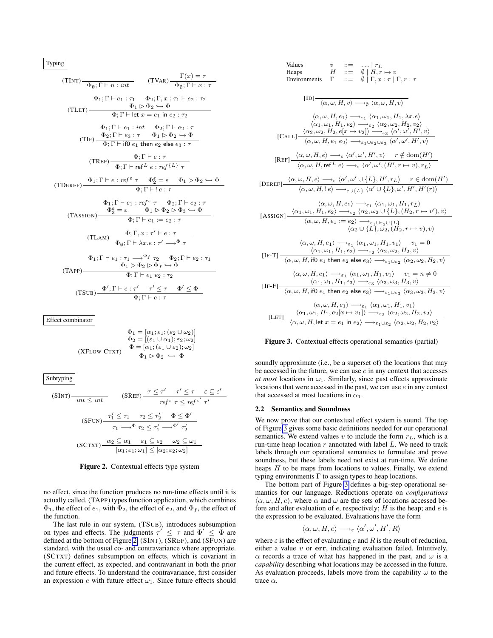Typing

(TINT)
$$
\frac{1}{\Phi_{\emptyset}; \Gamma \vdash n : int}
$$
 (TVAR) $\frac{\Gamma(x) = \tau}{\Phi_{\emptyset}; \Gamma \vdash x : \tau}$   
\n $\Phi_1; \Gamma \vdash e_1 : \tau_1 \Phi_2; \Gamma, x : \tau_1 \vdash e_2 : \tau_2$   
\n(TLET) $\frac{\Phi_1 \triangleright \Phi_2 \rightarrow \Phi}{\Phi_1 \Gamma \vdash \text{let } x = e_1 \text{ in } e_2 : \tau_2}$   
\n $\Phi_1; \Gamma \vdash e_1 : int \Phi_2; \Gamma \vdash e_2 : \tau$   
\n $\Phi_2; \Gamma \vdash e_3 : \tau \Phi_1 \triangleright \Phi_2 \rightarrow \Phi$   
\n(TTF) $\frac{\Phi_2; \Gamma \vdash e_3 : \tau \Phi_1 \triangleright \Phi_2 \rightarrow \Phi}{\Phi_1 \Gamma \vdash \text{if } e_1 \text{ then } e_2 \text{ else } e_3 : \tau}$   
\n(TREF) $\frac{\Phi_1; \Gamma \vdash e : \tau}{\Phi_1 \Gamma \vdash \text{ref}^L e : \text{ref}^{\{L\}} \tau}$   
\n(TDEFE)

Effect combinator

$$
\Phi_1 = [\alpha_1; \varepsilon_1; (\varepsilon_2 \cup \omega_2)]
$$
  
\n
$$
\Phi_2 = [(\varepsilon_1 \cup \alpha_1); \varepsilon_2; \omega_2]
$$
  
\n
$$
(XFLOW-CTXT) \xrightarrow{\Phi} = [\alpha_1; (\varepsilon_1 \cup \varepsilon_2); \omega_2]
$$
  
\n
$$
\Phi_1 \triangleright \Phi_2 \hookrightarrow \Phi
$$

Subtyping

$$
\begin{array}{ll}\n\text{(SINT)} & \text{(SREF)} \frac{\tau \le \tau'}{\tau'} \frac{\tau' \le \tau}{\tau'} \frac{\varepsilon \subseteq \varepsilon'}{\varepsilon'} \\
\text{(SFEN)} & \frac{\tau_1' \le \tau_1}{\tau_1 \to^{\Phi} \tau_2 \le \tau_2'} \frac{\Phi \le \Phi'}{\Phi} \\
\text{(SFIN)} & \frac{\tau_1' \le \tau_1 \to^{\Phi} \tau_2 \le \tau_1' \to^{\Phi'} \tau_2'}{\tau_1 \to^{\Phi'} \tau_2'} \\
\text{(SCTXT)} & \frac{\alpha_2 \subseteq \alpha_1 \quad \varepsilon_1 \subseteq \varepsilon_2 \quad \omega_2 \subseteq \omega_1}{[\alpha_1; \varepsilon_1; \omega_1] \le [\alpha_2; \varepsilon_2; \omega_2]} \\
\end{array}
$$

<span id="page-2-0"></span>Figure 2. Contextual effects type system

no effect, since the function produces no run-time effects until it is actually called. (TAPP) types function application, which combines  $\Phi_1$ , the effect of  $e_1$ , with  $\Phi_2$ , the effect of  $e_2$ , and  $\Phi_f$ , the effect of the function.

The last rule in our system, (TSUB), introduces subsumption on types and effects. The judgments  $\tau' \leq \tau$  and  $\Phi' \leq \Phi$  are defined at the bottom of Figure [2.](#page-2-0) (SINT), (SREF), and (SFUN) are standard, with the usual co- and contravariance where appropriate. (SCTXT) defines subsumption on effects, which is covariant in the current effect, as expected, and contravariant in both the prior and future effects. To understand the contravariance, first consider an expression  $e$  with future effect  $\omega_1$ . Since future effects should

Values 
$$
v ::= \dots | r_L
$$
  
\nHeaps 
$$
H ::= \emptyset | H, r \mapsto v
$$
  
\nEnviroments 
$$
\Gamma ::= \emptyset | \Gamma, x : \tau | \Gamma, r : \tau
$$
  
\n
$$
[ID] \frac{\langle \alpha, \omega, H, e_1 \rangle \longrightarrow_{\epsilon_1} \langle \alpha_1, \omega_1, H_1, \lambda x. e \rangle}{\langle \alpha_1, \omega_1, H_1, e_2 \rangle \longrightarrow_{\epsilon_2} \langle \alpha_2, \omega_2, H_2, v_2 \rangle}
$$
  
\n
$$
[CALL] \frac{\langle \alpha_2, \omega_2, H_2, e[x \mapsto v_2] \rangle \longrightarrow_{\epsilon_3} \langle \alpha', \omega', H', v \rangle}{\langle \alpha, \omega, H, e_1 e_2 \rangle \longrightarrow_{\epsilon_1 \cup \epsilon_2 \cup \epsilon_3} \langle \alpha', \omega', H', v \rangle}
$$
  
\n[REF] 
$$
\frac{\langle \alpha, \omega, H, e \rangle \longrightarrow_{\epsilon} \langle \alpha', \omega', H', v \rangle \qquad r \notin dom(H')
$$
  
\n
$$
[REF] \frac{\langle \alpha, \omega, H, e \rangle \longrightarrow_{\epsilon} \langle \alpha', \omega', H', v \rangle \qquad r \notin dom(H')
$$
  
\n
$$
\langle \alpha, \omega, H, r e^L e \rangle \longrightarrow_{\epsilon} \langle \alpha', \omega', (H', r \mapsto v), r_L \rangle
$$
  
\n[DEFer] 
$$
\frac{\langle \alpha, \omega, H, e \rangle \longrightarrow_{\epsilon} \langle \alpha', \omega' \cup \{L\}, H', r_L \rangle \qquad r \in dom(H')
$$
  
\n
$$
\langle \alpha, \omega, H, e_1 \rangle \longrightarrow_{\epsilon_1 \cup \{L\}, \omega', H', H', T \rangle \rangle
$$
  
\n[ASSIGN] 
$$
\frac{\langle \alpha_1, \omega_1, H_1, e_2 \rangle \longrightarrow_{\epsilon_2} \langle \alpha_2, \omega_2 \cup \{L\}, (H_2, r \mapsto v'), v \rangle}{\langle \alpha, \omega, H, e_1 : e_2 \rangle \longrightarrow_{\epsilon_1} \langle \alpha_1, \omega_1, H_1, v_1 \rangle \qquad v_1 = 0}
$$
  
\n[IF-T] 
$$
\frac{\langle \alpha, \omega, H, e_1 \rangle \longrightarrow
$$

#### <span id="page-2-1"></span>Figure 3. Contextual effects operational semantics (partial)

soundly approximate (i.e., be a superset of) the locations that may be accessed in the future, we can use  $e$  in any context that accesses *at most* locations in  $\omega_1$ . Similarly, since past effects approximate locations that were accessed in the past, we can use e in any context that accessed at most locations in  $\alpha_1$ .

#### 2.2 Semantics and Soundness

We now prove that our contextual effect system is sound. The top of Figure [3](#page-2-1) gives some basic definitions needed for our operational semantics. We extend values v to include the form  $r<sub>L</sub>$ , which is a run-time heap location  $r$  annotated with label  $L$ . We need to track labels through our operational semantics to formulate and prove soundness, but these labels need not exist at run-time. We define heaps  $H$  to be maps from locations to values. Finally, we extend typing environments  $\Gamma$  to assign types to heap locations.

The bottom part of Figure [3](#page-2-1) defines a big-step operational semantics for our language. Reductions operate on *configurations*  $\langle \alpha, \omega, H, e \rangle$ , where  $\alpha$  and  $\omega$  are the sets of locations accessed before and after evaluation of  $e$ , respectively;  $H$  is the heap; and  $e$  is the expression to be evaluated. Evaluations have the form

$$
\langle \alpha, \omega, H, e \rangle \longrightarrow_{\varepsilon} \langle \alpha', \omega', H', R \rangle
$$

where  $\varepsilon$  is the effect of evaluating e and R is the result of reduction, either a value  $v$  or  $err$ , indicating evaluation failed. Intuitively,  $\alpha$  records a trace of what has happened in the past, and  $\omega$  is a *capability* describing what locations may be accessed in the future. As evaluation proceeds, labels move from the capability  $\omega$  to the trace  $\alpha$ .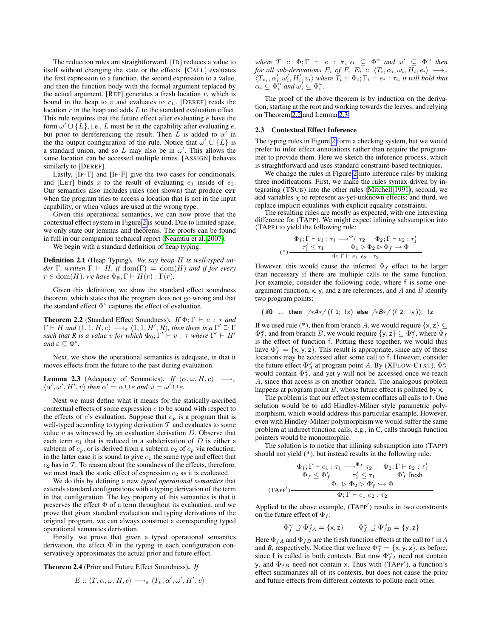The reduction rules are straightforward. [ID] reduces a value to itself without changing the state or the effects. [CALL] evaluates the first expression to a function, the second expression to a value, and then the function body with the formal argument replaced by the actual argument. [REF] generates a fresh location  $r$ , which is bound in the heap to v and evaluates to  $r<sub>L</sub>$ . [DEREF] reads the location  $r$  in the heap and adds  $L$  to the standard evaluation effect. This rule requires that the future effect after evaluating e have the form  $\omega' \cup {\hat{L}}$ , i.e., L must be in the capability after evaluating e, but prior to dereferencing the result. Then  $\vec{L}$  is added to  $\alpha^{\prime}$  in the the output configuration of the rule. Notice that  $\omega' \cup \{L\}$  is a standard union, and so L may also be in  $\omega'$ . This allows the same location can be accessed multiple times. [ASSIGN] behaves similarly to [DEREF].

Lastly, [IF-T] and [IF-F] give the two cases for conditionals, and [LET] binds  $x$  to the result of evaluating  $e_1$  inside of  $e_2$ . Our semantics also includes rules (not shown) that produce err when the program tries to access a location that is not in the input capability, or when values are used at the wrong type.

Given this operational semantics, we can now prove that the contextual effect system in Figure [2](#page-2-0) is sound. Due to limited space, we only state our lemmas and theorems. The proofs can be found in full in our companion technical report [\(Neamtiu et al. 2007\)](#page-12-9).

We begin with a standard definition of heap typing.

<span id="page-3-2"></span>Definition 2.1 (Heap Typing). *We say heap* H *is well-typed un* $der \Gamma$ *, written*  $\Gamma \vdash H$ *, if*  $dom(\Gamma) = dom(H)$  *and if for every*  $r \in \text{dom}(H)$ *, we have*  $\Phi_{\emptyset}$ ;  $\Gamma \vdash H(r)$ :  $\Gamma(r)$ *.* 

Given this definition, we show the standard effect soundness theorem, which states that the program does not go wrong and that the standard effect  $\Phi^{\varepsilon}$  captures the effect of evaluation.

<span id="page-3-0"></span>**Theorem 2.2** (Standard Effect Soundness). *If*  $\Phi$ ;  $\Gamma \vdash e : \tau$  *and*  $\Gamma \vdash H$  and  $\langle 1,1, H, e \rangle \longrightarrow_{\varepsilon} \langle 1,1, H', R \rangle$ , then there is a  $\Gamma' \supseteq \Gamma$ *such that R is a value* v for which  $\Phi_0$ ;  $\Gamma' \vdash v : \tau$  where  $\Gamma' \vdash H'$  $and \varepsilon \subseteq \Phi^{\varepsilon}.$ 

Next, we show the operational semantics is adequate, in that it moves effects from the future to the past during evaluation.

<span id="page-3-1"></span>**Lemma 2.3** (Adequacy of Semantics). *If*  $\langle \alpha, \omega, H, e \rangle \longrightarrow_{\varepsilon}$  $\langle \alpha', \omega', H', v \rangle$  then  $\alpha' = \alpha \cup \varepsilon$  and  $\omega = \omega' \cup \varepsilon$ .

Next we must define what it means for the statically-ascribed contextual effects of some expression e to be sound with respect to the effects of e's evaluation. Suppose that  $e_p$  is a program that is well-typed according to typing derivation  $T$  and evaluates to some value  $v$  as witnessed by an evaluation derivation  $D$ . Observe that each term  $e_1$  that is reduced in a subderivation of  $D$  is either a subterm of  $e_p$ , or is derived from a subterm  $e_2$  of  $e_p$  via reduction; in the latter case it is sound to give  $e_1$  the same type and effect that  $e_2$  has in  $\mathcal T$ . To reason about the soundness of the effects, therefore, we must track the static effect of expression  $e_2$  as it is evaluated.

We do this by defining a new *typed operational semantics* that extends standard configurations with a typing derivation of the term in that configuration. The key property of this semantics is that it preserves the effect  $\Phi$  of a term throughout its evaluation, and we prove that given standard evaluation and typing derivations of the original program, we can always construct a corresponding typed operational semantics derivation.

Finally, we prove that given a typed operational semantics derivation, the effect Φ in the typing in each configuration conservatively approximates the actual prior and future effect.

Theorem 2.4 (Prior and Future Effect Soundness). *If*

$$
E::\langle T,\alpha,\omega,H,e\rangle \longrightarrow_{\varepsilon} \langle T_v,\alpha',\omega',H',v\rangle
$$

*where*  $T$  ::  $\Phi$ ;  $\Gamma$   $\vdash$  *e* :  $\tau$ ,  $\alpha$   $\subseteq$   $\Phi^{\alpha}$  *and*  $\omega'$   $\subseteq$   $\Phi^{\omega}$  *then for all sub-derivations*  $E_i$  *of*  $E$ *,*  $E_i$  ::  $\langle T_i, \alpha_i, \omega_i, H_i, e_i \rangle$   $\longrightarrow_{\varepsilon}$  $\langle T_{v_i}, \alpha'_i, \omega'_i, H'_i, v_i \rangle$  where  $\tilde{T}_i$  ::  $\Phi_i$ ;  $\Gamma_i \vdash e_i : \tau_i$ , it will hold that  $\alpha_i \subseteq \Phi_i^{\alpha}$  and  $\omega'_i \subseteq \Phi_i^{\omega}$ .

The proof of the above theorem is by induction on the derivation, starting at the root and working towards the leaves, and relying on Theorem [2.2](#page-3-0) and Lemma [2.3.](#page-3-1)

#### <span id="page-3-3"></span>2.3 Contextual Effect Inference

The typing rules in Figure [2](#page-2-0) form a checking system, but we would prefer to infer effect annotations rather than require the programmer to provide them. Here we sketch the inference process, which is straightforward and uses standard constraint-based techniques.

We change the rules in Figure [2](#page-2-0) into inference rules by making three modifications. First, we make the rules syntax-driven by integrating (TSUB) into the other rules [\(Mitchell 1991\)](#page-12-10); second, we add variables  $\chi$  to represent as-yet-unknown effects; and third, we replace implicit equalities with explicit equality constraints.

The resulting rules are mostly as expected, with one interesting difference for (TAPP). We might expect inlining subsumption into (TAPP) to yield the following rule:

$$
\begin{array}{c}\n\Phi_1; \Gamma \vdash e_1 : \tau_1 \longrightarrow^{\Phi_f} \tau_2 \qquad \Phi_2; \Gamma \vdash e_2 : \tau'_1 \\
\hline\n\tau'_1 \leq \tau_1 \qquad \qquad \Phi_1 \rhd \Phi_2 \rhd \Phi_f \hookrightarrow \Phi \\
\hline\n\Phi; \Gamma \vdash e_1 \; e_2 : \tau_2\n\end{array}
$$

However, this would cause the inferred  $\Phi_f$  effect to be larger than necessary if there are multiple calls to the same function. For example, consider the following code, where f is some oneargument function,  $x$ ,  $y$ , and  $z$  are references, and  $A$  and  $B$  identify two program points:

$$
(\text{if0} \dots \text{ then } \text{}/*A*/(\text{f 1}; !x) \text{ else } \text{/*B*/(\text{f 2}; !y)}); !z
$$

If we used rule (\*), then from branch A, we would require  $\{x, z\} \subset$  $\Phi_f^{\omega}$ , and from branch B, we would require  $\{y, z\} \subseteq \Phi_f^{\omega}$ , where  $\Phi_f$ is the effect of function f. Putting these together, we would thus have  $\Phi_f^{\omega} = \{x, y, z\}$ . This result is appropriate, since any of those locations may be accessed after some call to f. However, consider the future effect  $\Phi_A^{\omega}$  at program point A. By (XFLOW-CTXT),  $\Phi_A^{\omega}$ would contain  $\Phi_f^{\omega}$ , and yet y will not be accessed once we reach A, since that access is on another branch. The analogous problem happens at program point  $B$ , whose future effect is polluted by  $x$ .

The problem is that our effect system conflates all calls to f. One solution would be to add Hindley-Milner style parametric polymorphism, which would address this particular example. However, even with Hindley-Milner polymorphism we would suffer the same problem at indirect function calls, e.g., in C, calls through function pointers would be monomorphic.

The solution is to notice that inlining subsumption into (TAPP) should not yield (\*), but instead results in the following rule:

$$
\Phi_1; \Gamma \vdash e_1 : \tau_1 \longrightarrow^{\Phi_f} \tau_2 \qquad \Phi_2; \Gamma \vdash e_2 : \tau'_1
$$
\n
$$
\Phi_f \le \Phi'_f \qquad \tau'_1 \le \tau_1 \qquad \Phi'_f \text{ fresh}
$$
\n
$$
\Phi_1 \rhd \Phi_2 \rhd \Phi'_f \hookrightarrow \Phi
$$
\n
$$
\Phi; \Gamma \vdash e_1 \ e_2 : \tau_2
$$

Applied to the above example, (TAPP') results in two constraints on the future effect of  $\Phi_f$ :

$$
\Phi^{\omega}_f\supseteq\Phi^{\omega}_{fA}=\{\mathsf{x},\mathsf{z}\}\qquad\Phi^{\omega}_f\supseteq\Phi^{\omega}_{fB}=\{\mathsf{y},\mathsf{z}\}
$$

Here  $\Phi_{fA}$  and  $\Phi_{fB}$  are the fresh function effects at the call to f in *A* and *B*, respectively. Notice that we have  $\Phi_f^{\omega} = {\mathbf{x}, \mathbf{y}, \mathbf{z}}$ , as before, since f is called in both contexts. But now  $\Phi_{fA}^{\omega}$  need not contain y, and  $\Phi_{fB}$  need not contain x. Thus with (TAPP'), a function's effect summarizes all of its contexts, but does not cause the prior and future effects from different contexts to pollute each other.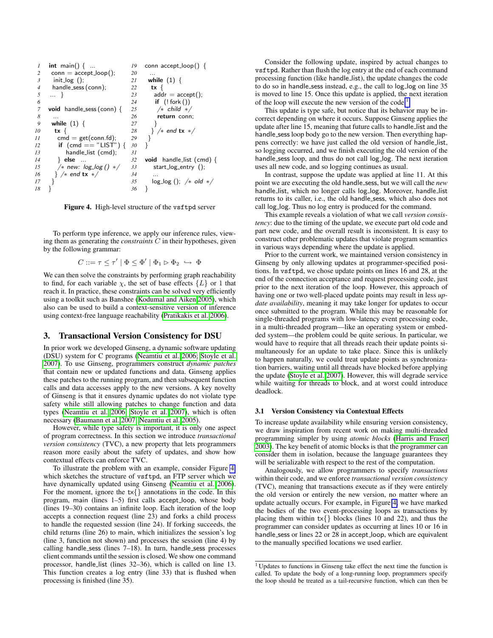

<span id="page-4-1"></span>Figure 4. High-level structure of the vsftpd server

To perform type inference, we apply our inference rules, viewing them as generating the *constraints* C in their hypotheses, given by the following grammar:

$$
C ::= \tau \leq \tau' | \Phi \leq \Phi' | \Phi_1 \rhd \Phi_2 \hookrightarrow \Phi
$$

We can then solve the constraints by performing graph reachability to find, for each variable  $\chi$ , the set of base effects  $\{L\}$  or 1 that reach it. In practice, these constraints can be solved very efficiently using a toolkit such as Banshee [\(Kodumal and Aiken 2005\)](#page-12-11), which also can be used to build a context-sensitive version of inference using context-free language reachability [\(Pratikakis et al. 2006\)](#page-12-8).

#### <span id="page-4-0"></span>3. Transactional Version Consistency for DSU

In prior work we developed Ginseng, a dynamic software updating (DSU) system for C programs [\(Neamtiu et al. 2006;](#page-12-5) [Stoyle et al.](#page-12-6) [2007\)](#page-12-6). To use Ginseng, programmers construct *dynamic patches* that contain new or updated functions and data. Ginseng applies these patches to the running program, and then subsequent function calls and data accesses apply to the new versions. A key novelty of Ginseng is that it ensures dynamic updates do not violate type safety while still allowing patches to change function and data types [\(Neamtiu et al. 2006;](#page-12-5) [Stoyle et al. 2007\)](#page-12-6), which is often necessary [\(Baumann et al. 2007;](#page-12-12) [Neamtiu et al. 2005\)](#page-12-13).

However, while type safety is important, it is only one aspect of program correctness. In this section we introduce *transactional version consistency* (TVC), a new property that lets programmers reason more easily about the safety of updates, and show how contextual effects can enforce TVC.

To illustrate the problem with an example, consider Figure [4,](#page-4-1) which sketches the structure of vsftpd, an FTP server which we have dynamically updated using Ginseng [\(Neamtiu et al. 2006\)](#page-12-5). For the moment, ignore the  $tx\{\}$  annotations in the code. In this program, main (lines 1–5) first calls accept loop, whose body (lines 19–30) contains an infinite loop. Each iteration of the loop accepts a connection request (line 23) and forks a child process to handle the requested session (line 24). If forking succeeds, the child returns (line 26) to main, which initializes the session's log (line 3, function not shown) and processes the session (line 4) by calling handle\_sess (lines 7-18). In turn, handle\_sess processes client commands until the session is closed. We show one command processor, handle list (lines 32–36), which is called on line 13. This function creates a log entry (line 33) that is flushed when processing is finished (line 35).

Consider the following update, inspired by actual changes to vsftpd. Rather than flush the log entry at the end of each command processing function (like handle list), the update changes the code to do so in handle sess instead, e.g., the call to log log on line 35 is moved to line 15. Once this update is applied, the next iteration of the loop will execute the new version of the code.<sup>[1](#page-4-2)</sup>

This update is type safe, but notice that its behavior may be incorrect depending on where it occurs. Suppose Ginseng applies the update after line 15, meaning that future calls to handle list and the handle sess loop body go to the new version. Then everything happens correctly: we have just called the old version of handle list, so logging occurred, and we finish executing the old version of the handle sess loop, and thus do not call log log. The next iteration uses all new code, and so logging continues as usual.

In contrast, suppose the update was applied at line 11. At this point we are executing the old handle sess, but we will call the *new* handle\_list, which no longer calls log\_log. Moreover, handle\_list returns to its caller, i.e., the old handle sess, which also does not call log\_log. Thus no log entry is produced for the command.

This example reveals a violation of what we call *version consistency*: due to the timing of the update, we execute part old code and part new code, and the overall result is inconsistent. It is easy to construct other problematic updates that violate program semantics in various ways depending where the update is applied.

Prior to the current work, we maintained version consistency in Ginseng by only allowing updates at programmer-specified positions. In vsftpd, we chose update points on lines 16 and 28, at the end of the connection acceptance and request processing code, just prior to the next iteration of the loop. However, this approach of having one or two well-placed update points may result in less *update availability*, meaning it may take longer for updates to occur once submitted to the program. While this may be reasonable for single-threaded programs with low-latency event processing code, in a multi-threaded program—like an operating system or embedded system—the problem could be quite serious. In particular, we would have to require that all threads reach their update points simultaneously for an update to take place. Since this is unlikely to happen naturally, we could treat update points as synchronization barriers, waiting until all threads have blocked before applying the update [\(Stoyle et al. 2007\)](#page-12-6). However, this will degrade service while waiting for threads to block, and at worst could introduce deadlock.

#### <span id="page-4-3"></span>3.1 Version Consistency via Contextual Effects

To increase update availability while ensuring version consistency, we draw inspiration from recent work on making multi-threaded programming simpler by using *atomic blocks* [\(Harris and Fraser](#page-12-14) [2003\)](#page-12-14). The key benefit of atomic blocks is that the programmer can consider them in isolation, because the language guarantees they will be serializable with respect to the rest of the computation.

Analogously, we allow programmers to specify *transactions* within their code, and we enforce *transactional version consistency* (TVC), meaning that transactions execute as if they were entirely the old version or entirely the new version, no matter where an update actually occurs. For example, in Figure [4,](#page-4-1) we have marked the bodies of the two event-processing loops as transactions by placing them within tx{} blocks (lines 10 and 22), and thus the programmer can consider updates as occurring at lines 10 or 16 in handle sess or lines 22 or 28 in accept loop, which are equivalent to the manually specified locations we used earlier.

<span id="page-4-2"></span><sup>1</sup> Updates to functions in Ginseng take effect the next time the function is called. To update the body of a long-running loop, programmers specify the loop should be treated as a tail-recursive function, which can then be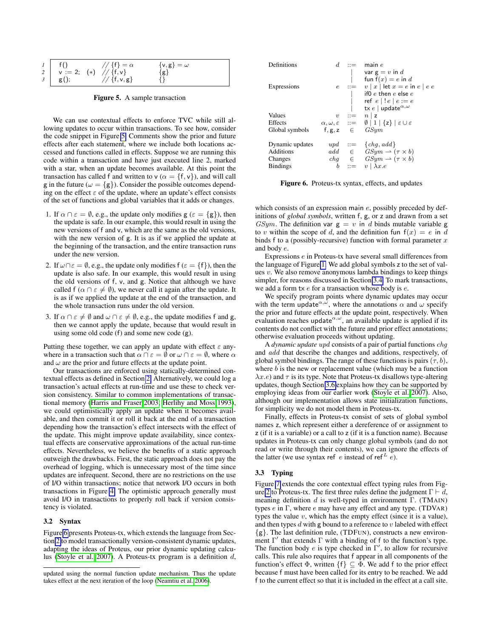| $1 \mid$ |                | // $\{f\} = \alpha$                    | $\{v, g\} = \omega$ |  |
|----------|----------------|----------------------------------------|---------------------|--|
|          |                | 2   v $:= 2;$ (*) $\frac{7}{7}$ {f, v} | $\{ {\bf g} \}$     |  |
|          | $3 \mid g()$ ; | $//$ {f, v, g}                         |                     |  |

<span id="page-5-0"></span>Figure 5. A sample transaction

We can use contextual effects to enforce TVC while still allowing updates to occur within transactions. To see how, consider the code snippet in Figure [5.](#page-5-0) Comments show the prior and future effects after each statement, where we include both locations accessed and functions called in effects. Suppose we are running this code within a transaction and have just executed line 2, marked with a star, when an update becomes available. At this point the transaction has called f and written to  $v (\alpha = \{f, v\})$ , and will call g in the future ( $\omega = \{g\}$ ). Consider the possible outcomes depending on the effect  $\varepsilon$  of the update, where an update's effect consists of the set of functions and global variables that it adds or changes.

- 1. If  $\alpha \cap \varepsilon = \emptyset$ , e.g., the update only modifies  $g(\varepsilon = \{g\})$ , then the update is safe. In our example, this would result in using the new versions of f and v, which are the same as the old versions, with the new version of g. It is as if we applied the update at the beginning of the transaction, and the entire transaction runs under the new version.
- 2. If  $\omega \cap \epsilon = \emptyset$ , e.g., the update only modifies  $f(\epsilon) = \{f\}$ , then the update is also safe. In our example, this would result in using the old versions of f, v, and g. Notice that although we have called f ( $\alpha \cap \epsilon \neq \emptyset$ ), we never call it again after the update. It is as if we applied the update at the end of the transaction, and the whole transaction runs under the old version.
- 3. If  $\alpha \cap \epsilon \neq \emptyset$  and  $\omega \cap \epsilon \neq \emptyset$ , e.g., the update modifies f and g, then we cannot apply the update, because that would result in using some old code (f) and some new code (g).

Putting these together, we can apply an update with effect  $\varepsilon$  anywhere in a transaction such that  $\alpha \cap \varepsilon = \emptyset$  or  $\omega \cap \varepsilon = \emptyset$ , where  $\alpha$ and  $\omega$  are the prior and future effects at the update point.

Our transactions are enforced using statically-determined contextual effects as defined in Section [2.](#page-1-0) Alternatively, we could log a transaction's actual effects at run-time and use these to check version consistency. Similar to common implementations of transactional memory [\(Harris and Fraser 2003;](#page-12-14) [Herlihy and Moss 1993\)](#page-12-15), we could optimistically apply an update when it becomes available, and then commit it or roll it back at the end of a transaction depending how the transaction's effect intersects with the effect of the update. This might improve update availability, since contextual effects are conservative approximations of the actual run-time effects. Nevertheless, we believe the benefits of a static approach outweigh the drawbacks. First, the static approach does not pay the overhead of logging, which is unnecessary most of the time since updates are infrequent. Second, there are no restrictions on the use of I/O within transactions; notice that network I/O occurs in both transactions in Figure [4.](#page-4-1) The optimistic approach generally must avoid I/O in transactions to properly roll back if version consistency is violated.

## 3.2 Syntax

Figure [6](#page-5-1) presents Proteus-tx, which extends the language from Section [2](#page-1-0) to model transactionally version-consistent dynamic updates, adapting the ideas of Proteus, our prior dynamic updating calculus [\(Stoyle et al. 2007\)](#page-12-6). A Proteus-tx program is a definition d,

| Definitions     | d.               | $\mathbf{m}$              | main $e$                                                                                                    |
|-----------------|------------------|---------------------------|-------------------------------------------------------------------------------------------------------------|
|                 |                  |                           | var $g = v$ in d                                                                                            |
|                 |                  |                           | fun $f(x) = e$ in d                                                                                         |
| Expressions     |                  |                           | $e$ ::= $v  x $ let $x = e$ in $e   e e$                                                                    |
|                 |                  |                           | if0 $e$ then $e$ else $e$                                                                                   |
|                 |                  |                           | ref $e \mid e \mid e := e$                                                                                  |
|                 |                  |                           | tx e   update $\alpha, \omega$                                                                              |
| Values          | $\boldsymbol{v}$ | $\mathbf{m} = \mathbf{m}$ | $n \mid z$                                                                                                  |
| Effects         |                  |                           | $\alpha, \omega, \varepsilon \quad ::= \quad \emptyset \mid 1 \mid \{z\} \mid \varepsilon \cup \varepsilon$ |
| Global symbols  | $f, g, z \in$    |                           | $GS \nu m$                                                                                                  |
|                 |                  |                           |                                                                                                             |
| Dynamic updates |                  | $upd \t ::=$              | $\{chq, add\}$                                                                                              |
| Additions       |                  |                           | $add \in GSym \rightarrow (\tau \times b)$                                                                  |
| Changes         |                  |                           | $chq \in GSym \rightarrow (\tau \times b)$                                                                  |
| <b>Bindings</b> | b                | $\mathbf{m}$              | $v \mid \lambda x.e$                                                                                        |

<span id="page-5-1"></span>Figure 6. Proteus-tx syntax, effects, and updates

which consists of an expression main  $e$ , possibly preceded by definitions of *global symbols*, written f, g, or z and drawn from a set GSym. The definition var  $g = v$  in d binds mutable variable g to v within the scope of d, and the definition fun  $f(x) = e$  in d binds f to a (possibly-recursive) function with formal parameter  $x$ and body e.

Expressions e in Proteus-tx have several small differences from the language of Figure [1.](#page-1-1) We add global symbols z to the set of values  $v$ . We also remove anonymous lambda bindings to keep things simpler, for reasons discussed in Section [3.4.](#page-6-0) To mark transactions, we add a form  $tx e$  for a transaction whose body is  $e$ .

We specify program points where dynamic updates may occur with the term update<sup> $\alpha, \bar{\omega}$ </sup>, where the annotations  $\alpha$  and  $\omega$  specify the prior and future effects at the update point, respectively. When evaluation reaches update $\alpha, \omega$ , an available update is applied if its contents do not conflict with the future and prior effect annotations; otherwise evaluation proceeds without updating.

A *dynamic update* upd consists of a pair of partial functions chg and add that describe the changes and additions, respectively, of global symbol bindings. The range of these functions is pairs  $(\tau, b)$ , where  $b$  is the new or replacement value (which may be a function  $\lambda x.e$ ) and  $\tau$  is its type. Note that Proteus-tx disallows type-altering updates, though Section [3.6](#page-8-0) explains how they can be supported by employing ideas from our earlier work [\(Stoyle et al. 2007\)](#page-12-6). Also, although our implementation allows state initialization functions, for simplicity we do not model them in Proteus-tx.

Finally, effects in Proteus-tx consist of sets of global symbol names z, which represent either a dereference of or assignment to z (if it is a variable) or a call to z (if it is a function name). Because updates in Proteus-tx can only change global symbols (and do not read or write through their contents), we can ignore the effects of the latter (we use syntax ref e instead of ref  $\overline{L}$  e).

## 3.3 Typing

Figure [7](#page-6-1) extends the core contextual effect typing rules from Fig-ure [2](#page-2-0) to Proteus-tx. The first three rules define the judgment  $\Gamma \vdash d$ , meaning definition  $d$  is well-typed in environment  $\Gamma$ . (TMAIN) types  $e$  in  $\Gamma$ , where  $e$  may have any effect and any type. (TDVAR) types the value  $v$ , which has the empty effect (since it is a value), and then types  $d$  with g bound to a reference to  $v$  labeled with effect {g}. The last definition rule, (TDFUN), constructs a new environment  $\Gamma'$  that extends  $\Gamma$  with a binding of f to the function's type. The function body  $e$  is type checked in  $\Gamma'$ , to allow for recursive calls. This rule also requires that f appear in all components of the function's effect  $\Phi$ , written  $\{f\} \subseteq \Phi$ . We add f to the prior effect because f must have been called for its entry to be reached. We add f to the current effect so that it is included in the effect at a call site.

updated using the normal function update mechanism. Thus the update takes effect at the next iteration of the loop [\(Neamtiu et al. 2006\)](#page-12-5).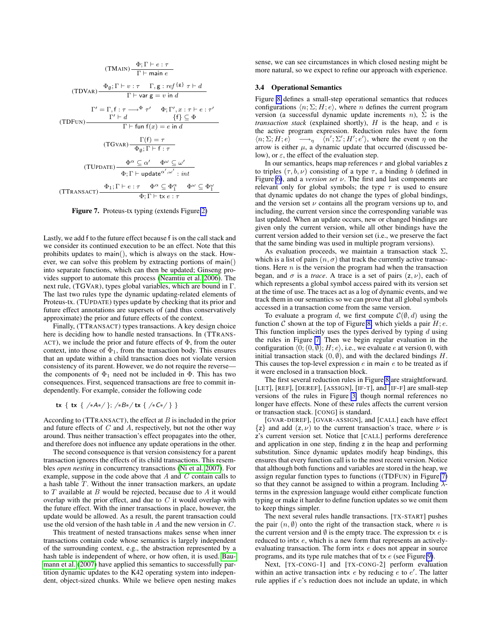(TDVAR) 
$$
\frac{\Phi; \Gamma \vdash e : \tau}{\Gamma \vdash \text{main } e}
$$
  
\n(TDVAR) 
$$
\frac{\Phi_{\emptyset}; \Gamma \vdash v : \tau \quad \Gamma, \mathbf{g} : \text{ref}^{\{g\}} \tau \vdash d}{\Gamma \vdash \text{var } \mathbf{g} = v \text{ in } d}
$$
  
\n
$$
\Gamma' = \Gamma, \mathbf{f} : \tau \longrightarrow^{\Phi} \tau' \quad \Phi; \Gamma', x : \tau \vdash e : \tau'
$$
  
\n(TDFUN) 
$$
\frac{\Gamma' \vdash d}{\Gamma \vdash \text{fun } \mathbf{f}(x) = e \text{ in } d}
$$
  
\n(TGVAR) 
$$
\frac{\Gamma(\mathbf{f}) = \tau}{\Phi_{\emptyset}; \Gamma \vdash \mathbf{f} : \tau}
$$
  
\n(TUPDATE) 
$$
\frac{\Phi^{\alpha} \subseteq \alpha' \quad \Phi^{\omega} \subseteq \omega'}{\Phi; \Gamma \vdash \text{update}^{\alpha', \omega'} : \text{int}}
$$
  
\n(TTRANSACT) 
$$
\frac{\Phi_1; \Gamma \vdash e : \tau \quad \Phi^{\alpha} \subseteq \Phi_1^{\alpha} \quad \Phi^{\omega} \subseteq \Phi_1^{\omega}}{\Phi; \Gamma \vdash \text{tx } e : \tau}
$$

<span id="page-6-1"></span>Figure 7. Proteus-tx typing (extends Figure [2\)](#page-2-0)

Lastly, we add f to the future effect because f is on the call stack and we consider its continued execution to be an effect. Note that this prohibits updates to main(), which is always on the stack. However, we can solve this problem by extracting portions of main() into separate functions, which can then be updated; Ginseng provides support to automate this process [\(Neamtiu et al. 2006\)](#page-12-5). The next rule, (TGVAR), types global variables, which are bound in Γ. The last two rules type the dynamic updating-related elements of Proteus-tx. (TUPDATE) types update by checking that its prior and future effect annotations are supersets of (and thus conservatively approximate) the prior and future effects of the context.

Finally, (TTRANSACT) types transactions. A key design choice here is deciding how to handle nested transactions. In (TTRANS-ACT), we include the prior and future effects of  $\Phi$ , from the outer context, into those of  $\Phi_1$ , from the transaction body. This ensures that an update within a child transaction does not violate version consistency of its parent. However, we do not require the reverse the components of  $\Phi_1$  need not be included in  $\Phi$ . This has two consequences. First, sequenced transactions are free to commit independently. For example, consider the following code

$$
tx \{ tx \{ /*A*/ \}; /*B*/tx \{ /*C*/ \} \}
$$

According to (TTRANSACT), the effect at  $B$  is included in the prior and future effects of  $C$  and  $A$ , respectively, but not the other way around. Thus neither transaction's effect propagates into the other, and therefore does not influence any update operations in the other.

The second consequence is that version consistency for a parent transaction ignores the effects of its child transactions. This resembles *open nesting* in concurrency transactions [\(Ni et al. 2007\)](#page-12-16). For example, suppose in the code above that A and C contain calls to a hash table T. Without the inner transaction markers, an update to  $T$  available at  $B$  would be rejected, because due to  $A$  it would overlap with the prior effect, and due to  $C$  it would overlap with the future effect. With the inner transactions in place, however, the update would be allowed. As a result, the parent transaction could use the old version of the hash table in A and the new version in C.

This treatment of nested transactions makes sense when inner transactions contain code whose semantics is largely independent of the surrounding context, e.g., the abstraction represented by a hash table is independent of where, or how often, it is used. [Bau](#page-12-12)[mann et al.](#page-12-12) [\(2007\)](#page-12-12) have applied this semantics to successfully partition dynamic updates to the K42 operating system into independent, object-sized chunks. While we believe open nesting makes

sense, we can see circumstances in which closed nesting might be more natural, so we expect to refine our approach with experience.

## <span id="page-6-0"></span>3.4 Operational Semantics

Figure [8](#page-7-0) defines a small-step operational semantics that reduces configurations  $\langle n; \Sigma; H; e \rangle$ , where *n* defines the current program version (a successful dynamic update increments  $n$ ),  $\Sigma$  is the *transaction stack* (explained shortly),  $H$  is the heap, and  $e$  is the active program expression. Reduction rules have the form  $\langle n; \Sigma; H; e \rangle \longrightarrow_{\eta} \langle n'; \Sigma'; H'; e' \rangle$ , where the event  $\eta$  on the arrow is either  $\mu$ , a dynamic update that occurred (discussed below), or  $\varepsilon$ , the effect of the evaluation step.

In our semantics, heaps map references  $r$  and global variables  $z$ to triples  $(\tau, b, \nu)$  consisting of a type  $\tau$ , a binding b (defined in Figure [6\)](#page-5-1), and a *version set* ν. The first and last components are relevant only for global symbols; the type  $\tau$  is used to ensure that dynamic updates do not change the types of global bindings, and the version set  $\nu$  contains all the program versions up to, and including, the current version since the corresponding variable was last updated. When an update occurs, new or changed bindings are given only the current version, while all other bindings have the current version added to their version set (i.e., we preserve the fact that the same binding was used in multiple program versions).

As evaluation proceeds, we maintain a transaction stack  $\Sigma$ , which is a list of pairs  $(n, \sigma)$  that track the currently active transactions. Here  $n$  is the version the program had when the transaction began, and  $\sigma$  is a *trace*. A trace is a set of pairs  $(z, \nu)$ , each of which represents a global symbol access paired with its version set at the time of use. The traces act as a log of dynamic events, and we track them in our semantics so we can prove that all global symbols accessed in a transaction come from the same version.

To evaluate a program d, we first compute  $C(\emptyset, d)$  using the function  $C$  shown at the top of Figure [8,](#page-7-0) which yields a pair  $H$ ;  $e$ . This function implicitly uses the types derived by typing  $d$  using the rules in Figure [7.](#page-6-1) Then we begin regular evaluation in the configuration  $\langle 0; (0, \emptyset); H; e \rangle$ , i.e., we evaluate e at version 0, with initial transaction stack  $(0, \emptyset)$ , and with the declared bindings H. This causes the top-level expression  $e$  in main  $e$  to be treated as if it were enclosed in a transaction block.

The first several reduction rules in Figure [8](#page-7-0) are straightforward. [LET], [REF], [DEREF], [ASSIGN], [IF-T], and [IF-F] are small-step versions of the rules in Figure [3,](#page-2-1) though normal references no longer have effects. None of these rules affects the current version or transaction stack. [CONG] is standard.

[GVAR-DEREF], [GVAR-ASSIGN], and [CALL] each have effect  $\{z\}$  and add  $(z, \nu)$  to the current transaction's trace, where  $\nu$  is z's current version set. Notice that [CALL] performs dereference and application in one step, finding z in the heap and performing substitution. Since dynamic updates modify heap bindings, this ensures that every function call is to the most recent version. Notice that although both functions and variables are stored in the heap, we assign regular function types to functions ((TDFUN) in Figure [7\)](#page-6-1) so that they cannot be assigned to within a program. Including  $\lambda$ terms in the expression language would either complicate function typing or make it harder to define function updates so we omit them to keep things simpler.

The next several rules handle transactions. [TX-START] pushes the pair  $(n, \emptyset)$  onto the right of the transaction stack, where n is the current version and  $\emptyset$  is the empty trace. The expression tx  $e$  is reduced to intx e, which is a new form that represents an activelyevaluating transaction. The form intx e does not appear in source programs, and its type rule matches that of tx e (see Figure [9\)](#page-8-1).

Next, [TX-CONG-1] and [TX-CONG-2] perform evaluation within an active transaction intx  $e$  by reducing  $e$  to  $e'$ . The latter rule applies if e's reduction does not include an update, in which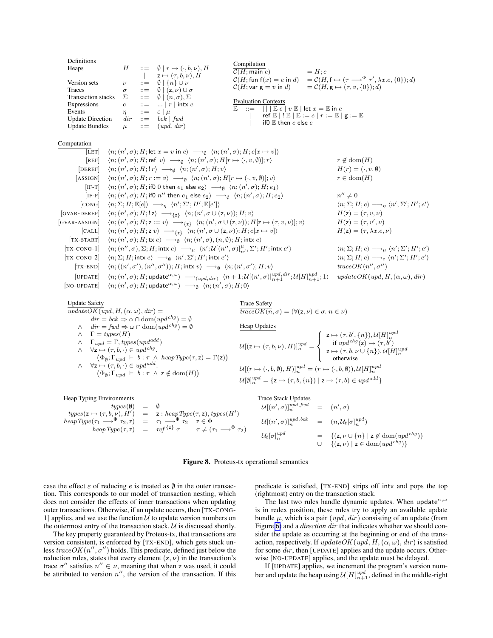| Definitions<br>Heaps<br>Version sets<br>Traces<br><b>Transaction stacks</b><br>Expressions<br>Events<br><b>Update Direction</b><br><b>Update Bundles</b> | $\nu$<br>$\sigma$<br>Σ<br>$\epsilon$<br>$\eta$<br>dir<br>$\mu$                                                   | $\mathbf{m}$<br>$\mathbf{H} = \mathbf{H}$<br>$\mathbf{r} = \mathbf{r}$<br>$\mathbf{r} =$ | $H \quad ::= \quad \emptyset \mid r \mapsto (\cdot, b, \nu), H$<br>$z \mapsto (\tau, b, \nu), H$<br>$ ::= \emptyset   \{n\} \cup \nu$<br>$ ::= \emptyset   (z, \nu) \cup \sigma$<br>$\emptyset$   $(n, \sigma)$ , $\Sigma$<br>$\ldots$   $r$   intx $e$<br>$\varepsilon \mid \mu$<br>$\therefore = \; bck \mid fwd$<br>(upd, dir) | Compilation<br>$C(H; \text{main } e)$<br>$\mathcal{C}(H; \text{var } g = v \text{ in } d) = \mathcal{C}(H, g \mapsto (\tau, v, \{0\}); d)$<br><b>Evaluation Contexts</b><br>$\mathbb{E}$ ::= $[$ $]$ $\mathbb{E} e$ $\mathbb{P} v$ $\mathbb{E}$ $ $ let $x = \mathbb{E}$ in $e$<br>ref $\mathbb{E}$   ! $\mathbb{E}$   $\mathbb{E} := e   r := \mathbb{E}   g := \mathbb{E}$<br>if 0 $E$ then $e$ else $e$ | $= H: e$ | $\mathcal{C}(H; \text{fun } f(x) = e \text{ in } d) = \mathcal{C}(H, f \mapsto (\tau \longrightarrow^{\Phi} \tau', \lambda x.e, \{0\}); d)$ |
|----------------------------------------------------------------------------------------------------------------------------------------------------------|------------------------------------------------------------------------------------------------------------------|------------------------------------------------------------------------------------------|-----------------------------------------------------------------------------------------------------------------------------------------------------------------------------------------------------------------------------------------------------------------------------------------------------------------------------------|------------------------------------------------------------------------------------------------------------------------------------------------------------------------------------------------------------------------------------------------------------------------------------------------------------------------------------------------------------------------------------------------------------|----------|---------------------------------------------------------------------------------------------------------------------------------------------|
| Computation                                                                                                                                              |                                                                                                                  |                                                                                          |                                                                                                                                                                                                                                                                                                                                   |                                                                                                                                                                                                                                                                                                                                                                                                            |          |                                                                                                                                             |
| [LET]                                                                                                                                                    |                                                                                                                  |                                                                                          | $\langle n;(n',\sigma);H;\mathsf{let}\;x=v\;\mathsf{in}\;e\rangle\longrightarrow_{\mathfrak{g}}\langle n;(n',\sigma);H;e[x\mapsto v]\rangle$                                                                                                                                                                                      |                                                                                                                                                                                                                                                                                                                                                                                                            |          |                                                                                                                                             |
| [REF]                                                                                                                                                    |                                                                                                                  |                                                                                          | $\langle n:(n',\sigma),H:\mathsf{ref}\;v\rangle \longrightarrow_{\emptyset} \langle n:(n',\sigma),H r\mapsto (.,v,\emptyset) :r\rangle$                                                                                                                                                                                           |                                                                                                                                                                                                                                                                                                                                                                                                            |          | $r \notin \text{dom}(H)$                                                                                                                    |
| [DEREF]                                                                                                                                                  | $\langle n; (n', \sigma), H; !\, r \rangle \longrightarrow_{\mathfrak{g}} \langle n; (n', \sigma), H; v \rangle$ |                                                                                          |                                                                                                                                                                                                                                                                                                                                   |                                                                                                                                                                                                                                                                                                                                                                                                            |          | $H(r) = (\cdot, v, \emptyset)$                                                                                                              |
| [ASSIGN]                                                                                                                                                 |                                                                                                                  |                                                                                          | $\langle n; (n', \sigma); H; r := v \rangle \longrightarrow_{\emptyset} \langle n; (n', \sigma); H[r \mapsto (\cdot, v, \emptyset)]; v \rangle$                                                                                                                                                                                   |                                                                                                                                                                                                                                                                                                                                                                                                            |          | $r \in \text{dom}(H)$                                                                                                                       |
|                                                                                                                                                          |                                                                                                                  |                                                                                          | [IF-T] $\langle n; (n', \sigma); H;$ if0 0 then $e_1$ else $e_2 \rangle \longrightarrow_{\mathfrak{g}} \langle n; (n', \sigma); H; e_1 \rangle$                                                                                                                                                                                   |                                                                                                                                                                                                                                                                                                                                                                                                            |          |                                                                                                                                             |
| $[IF-F]$                                                                                                                                                 |                                                                                                                  |                                                                                          | $\langle n; (n', \sigma); H; \text{ if} 0 \ n'' \text{ then } e_1 \text{ else } e_2 \rangle \longrightarrow_{\emptyset} \langle n; (n', \sigma); H; e_2 \rangle$                                                                                                                                                                  |                                                                                                                                                                                                                                                                                                                                                                                                            |          | $n'' \neq 0$                                                                                                                                |
| [CONG]                                                                                                                                                   |                                                                                                                  |                                                                                          | $\langle n; \Sigma; H; \mathbb{E}[e] \rangle \longrightarrow_n \langle n'; \Sigma'; H'; \mathbb{E}[e'] \rangle$                                                                                                                                                                                                                   |                                                                                                                                                                                                                                                                                                                                                                                                            |          | $\langle n; \Sigma; H; e \rangle \longrightarrow_n \langle n'; \Sigma'; H'; e' \rangle$                                                     |
| $[GVAR-DEREF]$                                                                                                                                           |                                                                                                                  |                                                                                          | $\langle n; (n', \sigma); H; !z \rangle \longrightarrow_{\{z\}} \langle n; (n', \sigma \cup (z, \nu)); H; v \rangle$                                                                                                                                                                                                              |                                                                                                                                                                                                                                                                                                                                                                                                            |          | $H(z) = (\tau, v, \nu)$                                                                                                                     |
| $[GVAR-ASSIGN]$                                                                                                                                          |                                                                                                                  |                                                                                          | $\langle n; (n', \sigma); H; \mathsf{z} := v \rangle \longrightarrow_{\{\mathsf{z}\}} \langle n; (n', \sigma \cup (\mathsf{z}, \nu)); H[\mathsf{z} \mapsto (\tau, v, \nu)]; v \rangle$                                                                                                                                            |                                                                                                                                                                                                                                                                                                                                                                                                            |          | $H(z) = (\tau, v', \nu)$                                                                                                                    |
|                                                                                                                                                          |                                                                                                                  |                                                                                          | [CALL] $\langle n; (n', \sigma); H; z \ v \rangle \longrightarrow_{\{z\}} \langle n; (n', \sigma \cup (z, \nu)); H; e[x \mapsto v] \rangle$                                                                                                                                                                                       |                                                                                                                                                                                                                                                                                                                                                                                                            |          | $H(z) = (\tau, \lambda x.e, \nu)$                                                                                                           |
| $[TX-STATET]$                                                                                                                                            |                                                                                                                  |                                                                                          | $\langle n; (n', \sigma); H; \forall x \in \rangle \longrightarrow_{\emptyset} \langle n; (n', \sigma), (n, \emptyset); H; \text{intx} \in \rangle$                                                                                                                                                                               |                                                                                                                                                                                                                                                                                                                                                                                                            |          |                                                                                                                                             |
| $[TX-CONG-1]$                                                                                                                                            |                                                                                                                  |                                                                                          | $\langle n;(n'',\sigma),\Sigma;H;{\rm intx\ e}\rangle \longrightarrow_{\mu} \langle n';\mathcal{U}[(n'',\sigma)]_{n'}^{\mu},\Sigma';H';{\rm intx\ e'}\rangle$                                                                                                                                                                     |                                                                                                                                                                                                                                                                                                                                                                                                            |          | $\langle n; \Sigma; H; e \rangle \longrightarrow_{\mu} \langle n'; \Sigma'; H'; e' \rangle$                                                 |
| $[TX-CONG-2]$                                                                                                                                            |                                                                                                                  |                                                                                          | $\langle n; \Sigma; H; \text{intx } e \rangle \longrightarrow_{\emptyset} \langle n'; \Sigma'; H'; \text{intx } e' \rangle$                                                                                                                                                                                                       |                                                                                                                                                                                                                                                                                                                                                                                                            |          | $\langle n; \Sigma; H; e \rangle \longrightarrow_{\varepsilon} \langle n'; \Sigma'; H'; e' \rangle$                                         |
|                                                                                                                                                          |                                                                                                                  |                                                                                          | [TX-END] $\langle n; ((n', \sigma'), (n'', \sigma'')); H; \text{intx } v \rangle \longrightarrow_{\emptyset} \langle n; (n', \sigma'); H; v \rangle$                                                                                                                                                                              |                                                                                                                                                                                                                                                                                                                                                                                                            |          | $traceOK(n'', \sigma'')$                                                                                                                    |
| [UPDATE]                                                                                                                                                 |                                                                                                                  |                                                                                          | $\langle n;(n',\sigma);H; \mathsf{update}^{\alpha,\omega} \rangle \longrightarrow_{(upd,dir)} \langle n+1;\mathcal{U}[(n',\sigma)]^{upd,dir}_{n+1};\mathcal{U}[H]^{upd}_{n+1};1 \rangle$                                                                                                                                          |                                                                                                                                                                                                                                                                                                                                                                                                            |          | $updateOK(upd, H, (\alpha, \omega), dir)$                                                                                                   |
| $[NO-UPDATE]$                                                                                                                                            |                                                                                                                  |                                                                                          | $\langle n;(n',\sigma);H;$ update $\alpha,\omega \rangle \longrightarrow_{\alpha} \langle n;(n',\sigma);H;0 \rangle$                                                                                                                                                                                                              |                                                                                                                                                                                                                                                                                                                                                                                                            |          |                                                                                                                                             |
|                                                                                                                                                          |                                                                                                                  |                                                                                          |                                                                                                                                                                                                                                                                                                                                   |                                                                                                                                                                                                                                                                                                                                                                                                            |          |                                                                                                                                             |

Update Safety

 $u$ pdateOK (upd, H,  $(\alpha, \omega)$ , dir) =  $dir = bck \Rightarrow \alpha \cap \text{dom}(upd^{chg}) = \emptyset$  $\wedge$  dir = fwd  $\Rightarrow$   $\omega \cap \text{dom}(upd^{chg}) = \emptyset$  $\wedge \quad \Gamma = types(H)$  $∧$   $\Gamma_{upd} = Γ, types(upd^{add})$  $\wedge \quad \forall z \mapsto (\tau, b, \cdot) \in upd^{chg}.$  $(\Phi_{\emptyset}; \Gamma_{upd} \vdash b : \tau \wedge \text{heapType}(\tau, z) = \Gamma(z))$  $\wedge \quad \forall z \mapsto (\tau, b, \cdot) \in upd^{add}.$  $(\Phi_{\emptyset}; \Gamma_{upd} \vdash b : \tau \wedge z \notin \text{dom}(H))$ 

Trace Safety  $\overline{traceOK(n, \sigma)} = (\forall (z, \nu) \in \sigma \ldotp n \in \nu)$ 

$$
U[(z \mapsto (\tau, b, \nu), H)]_n^{upd} = \begin{cases} z \mapsto (\tau, b', \{n\}), U[H]_n^{upd} \\ \text{if } upd^{chg}(z) \mapsto (\tau, b') \\ z \mapsto (\tau, b, \nu \cup \{n\}), U[H]_n^{upd} \\ \text{otherwise} \end{cases}
$$
  
\n
$$
U[(r \mapsto (\cdot, b, \emptyset), H)]_n^{upd} = (r \mapsto (\cdot, b, \emptyset)), U[H]_n^{upd}
$$
  
\n
$$
U[\emptyset]_n^{upd} = \{z \mapsto (\tau, b, \{n\}) \mid z \mapsto (\tau, b) \in upd^{add}\}
$$

| Heap Typing Environments                                                                                    |                                                                                               | <b>Trace Stack Updates</b>                                                    |                                                                                                                                                                        |
|-------------------------------------------------------------------------------------------------------------|-----------------------------------------------------------------------------------------------|-------------------------------------------------------------------------------|------------------------------------------------------------------------------------------------------------------------------------------------------------------------|
| $types(\emptyset) = \emptyset$                                                                              |                                                                                               | $\mathcal{U}[(n',\sigma)]^{upd,fwd}_n \quad = \quad (n',\sigma)$              |                                                                                                                                                                        |
| $heapType(\tau_1 \longrightarrow^{\Phi} \tau_2, z) = \tau_1 \longrightarrow^{\Phi} \tau_2 \quad z \in \Phi$ | $types(z \mapsto (\tau, b, \nu), H') = z : heapType(\tau, z), types(H')$                      | $\mathcal{U}[(n', \sigma)]_n^{upd, bck} = (n, \mathcal{U}_t[\sigma]_n^{upd})$ |                                                                                                                                                                        |
|                                                                                                             | $heapType(\tau, z) = ref^{\{z\}} \tau \quad \tau \neq (\tau_1 \longrightarrow^{\Phi} \tau_2)$ | $\mathcal{U}_{t}[\sigma]^{upd}_n$                                             | $= \{(z, \nu \cup \{n\} \mid z \notin \text{dom}(\text{upd}^{\text{chg}})\}\$<br>$\cup \{(\mathsf{z}, \nu) \mid \mathsf{z} \in \text{dom}(\text{upd}^{\text{chg}})\}\$ |

<span id="page-7-0"></span>

case the effect  $\varepsilon$  of reducing e is treated as  $\emptyset$  in the outer transaction. This corresponds to our model of transaction nesting, which does not consider the effects of inner transactions when updating outer transactions. Otherwise, if an update occurs, then [TX-CONG-1] applies, and we use the function  $U$  to update version numbers on the outermost entry of the transaction stack.  $U$  is discussed shortly.

The key property guaranteed by Proteus-tx, that transactions are version consistent, is enforced by [TX-END], which gets stuck unless trace  $OK(n'', \sigma'')$  holds. This predicate, defined just below the reduction rules, states that every element  $(z, \nu)$  in the transaction's trace  $\sigma''$  satisfies  $n'' \in \nu$ , meaning that when z was used, it could be attributed to version  $n''$ , the version of the transaction. If this

predicate is satisfied, [TX-END] strips off intx and pops the top (rightmost) entry on the transaction stack.

The last two rules handle dynamic updates. When update  $\alpha, \omega$ is in redex position, these rules try to apply an available update bundle  $\mu$ , which is a pair  $(upd, dir)$  consisting of an update (from Figure [6\)](#page-5-1) and a *direction* dir that indicates whether we should consider the update as occurring at the beginning or end of the transaction, respectively. If  $updateOK(upd, H, (\alpha, \omega), dir)$  is satisfied for some *dir*, then [UPDATE] applies and the update occurs. Otherwise [NO-UPDATE] applies, and the update must be delayed.

If [UPDATE] applies, we increment the program's version number and update the heap using  $\mathcal{U}[H]^{upd}_{n+1}$ , defined in the middle-right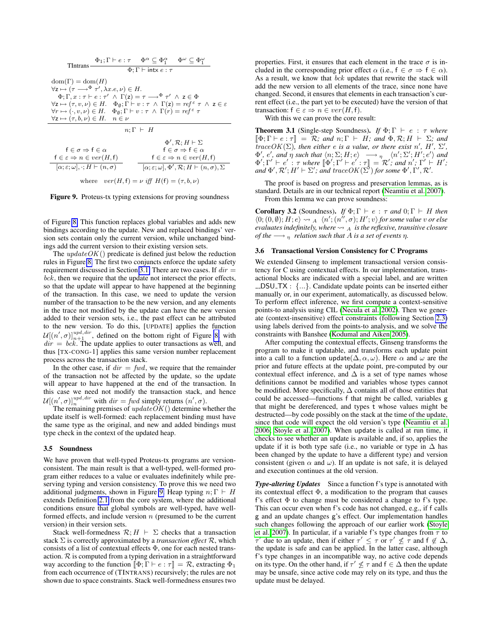Thtrans

\n
$$
\Phi_1; \Gamma \vdash e : \tau \quad \Phi^\alpha \subseteq \Phi_1^\alpha \quad \Phi^\omega \subseteq \Phi_1^\omega
$$
\n
$$
\Phi; \Gamma \vdash \text{intx } e : \tau
$$
\n
$$
\text{dom}(\Gamma) = \text{dom}(H)
$$
\n
$$
\forall z \mapsto (\tau \longrightarrow^{\Phi} \tau', \lambda x. e, \nu) \in H.
$$
\n
$$
\Phi; \Gamma, x : \tau \vdash e : \tau' \land \Gamma(z) = \tau \longrightarrow^{\Phi} \tau' \land z \in \Phi
$$
\n
$$
\forall z \mapsto (\tau, v, \nu) \in H. \quad \Phi_{\emptyset}; \Gamma \vdash v : \tau \land \Gamma(z) = \text{ref}^{\varepsilon} \tau \land z \in \varepsilon
$$
\n
$$
\forall r \mapsto (\cdot, v, \nu) \in H. \quad \Phi_{\emptyset}; \Gamma \vdash v : \tau \land \Gamma(r) = \text{ref}^{\varepsilon} \tau
$$
\n
$$
\forall z \mapsto (\tau, b, \nu) \in H. \quad n \in \nu
$$
\n
$$
n; \Gamma \vdash H
$$
\n
$$
\Phi', \mathcal{R}; H \vdash \Sigma
$$
\n
$$
\mathbf{f} \in \sigma \Rightarrow \mathbf{f} \in \alpha \qquad \mathbf{f} \in \sigma \Rightarrow \mathbf{f} \in \alpha
$$
\n
$$
\mathbf{f} \in \varepsilon \Rightarrow n \in \text{ver}(H, \mathbf{f}) \qquad \mathbf{f} \in \varepsilon \Rightarrow n \in \text{ver}(H, \mathbf{f})
$$
\n
$$
[\alpha; \varepsilon; \omega], \Phi', \mathcal{R}; H \vdash (n, \sigma), \Sigma
$$
\n
$$
\text{where } \text{ver}(H, \mathbf{f}) = \nu \text{ iff } H(\mathbf{f}) = (\tau, b, \nu)
$$

<span id="page-8-1"></span>Figure 9. Proteus-tx typing extensions for proving soundness

of Figure [8.](#page-7-0) This function replaces global variables and adds new bindings according to the update. New and replaced bindings' version sets contain only the current version, while unchanged bindings add the current version to their existing version sets.

The  $updateOK()$  predicate is defined just below the reduction rules in Figure [8.](#page-7-0) The first two conjuncts enforce the update safety requirement discussed in Section [3.1.](#page-4-3) There are two cases. If  $dir =$ bck, then we require that the update not intersect the prior effects, so that the update will appear to have happened at the beginning of the transaction. In this case, we need to update the version number of the transaction to be the new version, and any elements in the trace not modified by the update can have the new version added to their version sets, i.e., the past effect can be attributed to the new version. To do this, [UPDATE] applies the function  $\mathcal{U}[(n', \sigma)]_{n+1}^{upd, dir}$ , defined on the bottom right of Figure [8,](#page-7-0) with  $dir = bck$ . The update applies to outer transactions as well, and thus [TX-CONG-1] applies this same version number replacement process across the transaction stack.

In the other case, if  $dir = fwd$ , we require that the remainder of the transaction not be affected by the update, so the update will appear to have happened at the end of the transaction. In this case we need not modify the transaction stack, and hence  $\mathcal{U}[(n', \sigma)]_n^{upd, dir}$  with  $dir = fwd$  simply returns  $(n', \sigma)$ .

The remaining premises of  $updateOK()$  determine whether the update itself is well-formed: each replacement binding must have the same type as the original, and new and added bindings must type check in the context of the updated heap.

#### 3.5 Soundness

We have proven that well-typed Proteus-tx programs are versionconsistent. The main result is that a well-typed, well-formed program either reduces to a value or evaluates indefinitely while preserving typing and version consistency. To prove this we need two additional judgments, shown in Figure [9.](#page-8-1) Heap typing  $n; \Gamma \vdash H$ extends Definition [2.1](#page-3-2) from the core system, where the additional conditions ensure that global symbols are well-typed, have wellformed effects, and include version  $n$  (presumed to be the current version) in their version sets.

Stack well-formedness  $\mathcal{R}$ ;  $H \vdash \Sigma$  checks that a transaction stack  $\Sigma$  is correctly approximated by a *transaction effect*  $\mathcal{R}$ , which consists of a list of contextual effects Φ, one for each nested transaction.  $R$  is computed from a typing derivation in a straightforward way according to the function  $\llbracket \Phi \rangle$ ;  $\Gamma \vdash e : \tau \rrbracket = \mathcal{R}$ , extracting  $\Phi_1$ from each occurrence of (TINTRANS) recursively; the rules are not shown due to space constraints. Stack well-formedness ensures two properties. First, it ensures that each element in the trace  $\sigma$  is included in the corresponding prior effect  $\alpha$  (i.e.,  $f \in \sigma \Rightarrow f \in \alpha$ ). As a result, we know that bck updates that rewrite the stack will add the new version to all elements of the trace, since none have changed. Second, it ensures that elements in each transaction's current effect (i.e., the part yet to be executed) have the version of that transaction:  $f \in \varepsilon \Rightarrow n \in ver(H, f)$ .

With this we can prove the core result:

**Theorem 3.1** (Single-step Soundness). *If*  $\Phi$ ;  $\Gamma \vdash e : \tau$  *where*  $[\![\Phi,\Gamma\vdash e:\tau]\!] = \mathcal{R}$ ; and  $n;\Gamma \vdash H$ ; and  $\Phi$ ,  $\mathcal{R}; H \vdash \Sigma$ ; and  $traceOK(\Sigma)$ , then either e is a value, or there exist n', H',  $\Sigma'$ ,  $\Phi'$ , *e'*, and  $\eta$  such that  $\langle n; \Sigma; H; e \rangle \longrightarrow_{\eta} \langle n'; \Sigma'; H'; e' \rangle$  and  $\Phi'; \Gamma' \vdash e' : \tau$  where  $[\Phi'; \Gamma' \vdash e' : \tau] = \mathcal{R}'$ ; and  $n'$ ;  $\Gamma' \vdash H'$ ;<br>and  $\Phi' \mathcal{R}' \cdot H' \vdash \Sigma'$ ; and trace  $OK(\Sigma')$  for some  $\Phi' \Gamma' \mathcal{R}'$  $and \Phi', \mathcal{R'}; H' \vdash \Sigma'$ ; and trace  $OK(\Sigma')$  for some  $\Phi', \Gamma', \mathcal{R}'.$ 

The proof is based on progress and preservation lemmas, as is standard. Details are in our technical report [\(Neamtiu et al. 2007\)](#page-12-9). From this lemma we can prove soundness:

**Corollary 3.2** (Soundness). *If*  $\Phi$ ;  $\Gamma \vdash e : \tau$  *and*  $0$ ;  $\Gamma \vdash H$  *then* 

 $\langle 0; (0, \emptyset); H; e \rangle \rightsquigarrow_A \langle n'; (n'', \sigma); H'; v \rangle$  for some value v or else *evaluates indefinitely, where*  $\rightsquigarrow$   $_A$  *is the reflexive, transitive closure of the*  $\longrightarrow$   $\sim$  *relation such that A is a set of events η*.

#### <span id="page-8-0"></span>3.6 Transactional Version Consistency for C Programs

We extended Ginseng to implement transactional version consistency for C using contextual effects. In our implementation, transactional blocks are indicated with a special label, and are written  $\Box$ DSU $\Box$ TX :  $\{...\}$ . Candidate update points can be inserted either manually or, in our experiment, automatically, as discussed below. To perform effect inference, we first compute a context-sensitive points-to analysis using CIL [\(Necula et al. 2002\)](#page-12-17). Then we generate (context-insensitive) effect constraints (following Section [2.3\)](#page-3-3) using labels derived from the points-to analysis, and we solve the constraints with Banshee [\(Kodumal and Aiken 2005\)](#page-12-11).

After computing the contextual effects, Ginseng transforms the program to make it updatable, and transforms each update point into a call to a function update( $\Delta, \alpha, \omega$ ). Here  $\alpha$  and  $\omega$  are the prior and future effects at the update point, pre-computed by our contextual effect inference, and  $\Delta$  is a set of type names whose definitions cannot be modified and variables whose types cannot be modified. More specifically,  $\Delta$  contains all of those entities that could be accessed—functions f that might be called, variables g that might be dereferenced, and types t whose values might be destructed—by code possibly on the stack at the time of the update, since that code will expect the old version's type [\(Neamtiu et al.](#page-12-5) [2006;](#page-12-5) [Stoyle et al. 2007\)](#page-12-6). When update is called at run time, it checks to see whether an update is available and, if so, applies the update if it is both type safe (i.e., no variable or type in  $\Delta$  has been changed by the update to have a different type) and version consistent (given  $\alpha$  and  $\omega$ ). If an update is not safe, it is delayed and execution continues at the old version.

*Type-altering Updates* Since a function f's type is annotated with its contextual effect Φ, a modification to the program that causes f's effect Φ to change must be considered a change to f's type. This can occur even when f's code has not changed, e.g., if f calls g and an update changes g's effect. Our implementation handles such changes following the approach of our earlier work [\(Stoyle](#page-12-6) [et al. 2007\)](#page-12-6). In particular, if a variable f's type changes from  $\tau$  to  $\tau'$  due to an update, then if either  $\tau' \leq \tau$  or  $\tau' \nleq \tau$  and  $f \notin \Delta$ , the update is safe and can be applied. In the latter case, although f's type changes in an incompatible way, no active code depends on its type. On the other hand, if  $\tau' \nleq \tau$  and  $f \in \Delta$  then the update may be unsafe, since active code may rely on its type, and thus the update must be delayed.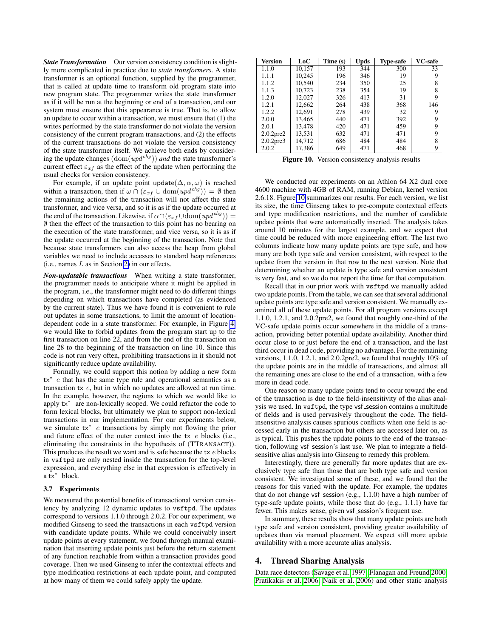**State Transformation** Our version consistency condition is slightly more complicated in practice due to *state transformers*. A state transformer is an optional function, supplied by the programmer, that is called at update time to transform old program state into new program state. The programmer writes the state transformer as if it will be run at the beginning or end of a transaction, and our system must ensure that this appearance is true. That is, to allow an update to occur within a transaction, we must ensure that (1) the writes performed by the state transformer do not violate the version consistency of the current program transactions, and (2) the effects of the current transactions do not violate the version consistency of the state transformer itself. We achieve both ends by considering the update changes  $(\text{dom}(upd^{chg}))$  *and* the state transformer's current effect  $\varepsilon_{xf}$  as the effect of the update when performing the usual checks for version consistency.

For example, if an update point update( $\Delta, \alpha, \omega$ ) is reached within a transaction, then if  $\omega \cap (\varepsilon_{xf} \cup \text{dom}(upd^{chg})) = \emptyset$  then the remaining actions of the transaction will not affect the state transformer, and vice versa, and so it is as if the update occurred at the end of the transaction. Likewise, if  $\alpha \cap (\varepsilon_{xf} \cup \overline{\text{dom}(upd^{chg})}) =$  $\emptyset$  then the effect of the transaction to this point has no bearing on the execution of the state transformer, and vice versa, so it is as if the update occurred at the beginning of the transaction. Note that because state transformers can also access the heap from global variables we need to include accesses to standard heap references  $(i.e., names L as in Section 2) in our effects.$  $(i.e., names L as in Section 2) in our effects.$  $(i.e., names L as in Section 2) in our effects.$ 

*Non-updatable transactions* When writing a state transformer, the programmer needs to anticipate where it might be applied in the program, i.e., the transformer might need to do different things depending on which transactions have completed (as evidenced by the current state). Thus we have found it is convenient to rule out updates in some transactions, to limit the amount of locationdependent code in a state transformer. For example, in Figure [4,](#page-4-1) we would like to forbid updates from the program start up to the first transaction on line 22, and from the end of the transaction on line 28 to the beginning of the transaction on line 10. Since this code is not run very often, prohibiting transactions in it should not significantly reduce update availability.

Formally, we could support this notion by adding a new form tx<sup>∗</sup> e that has the same type rule and operational semantics as a transaction tx e, but in which no updates are allowed at run time. In the example, however, the regions to which we would like to apply tx<sup>∗</sup> are non-lexically scoped. We could refactor the code to form lexical blocks, but ultimately we plan to support non-lexical transactions in our implementation. For our experiments below, we simulate tx<sup>∗</sup> e transactions by simply not flowing the prior and future effect of the outer context into the  $tx e$  blocks (i.e., eliminating the constraints in the hypothesis of (TTRANSACT)). This produces the result we want and is safe because the  $tx e$  blocks in vsftpd are only nested inside the transaction for the top-level expression, and everything else in that expression is effectively in a tx<sup>∗</sup> block.

#### 3.7 Experiments

We measured the potential benefits of transactional version consistency by analyzing 12 dynamic updates to vsftpd. The updates correspond to versions 1.1.0 through 2.0.2. For our experiment, we modified Ginseng to seed the transactions in each vsftpd version with candidate update points. While we could conceivably insert update points at every statement, we found through manual examination that inserting update points just before the return statement of any function reachable from within a transaction provides good coverage. Then we used Ginseng to infer the contextual effects and type modification restrictions at each update point, and computed at how many of them we could safely apply the update.

| Version         | LoC    | Time (s) | Upds | <b>Type-safe</b> | VC-safe |
|-----------------|--------|----------|------|------------------|---------|
| 1.1.0           | 10,157 | 193      | 344  | 300              | 33      |
| 1.1.1           | 10,245 | 196      | 346  | 19               | 9       |
| 1.1.2           | 10,540 | 234      | 350  | 25               | 8       |
| 1.1.3           | 10,723 | 238      | 354  | 19               | 8       |
| 1.2.0           | 12,027 | 326      | 413  | 31               | 9       |
| 1.2.1           | 12,662 | 264      | 438  | 368              | 146     |
| 1.2.2           | 12,691 | 278      | 439  | 32               | 9       |
| 2.0.0           | 13,465 | 440      | 471  | 392              | 9       |
| 2.0.1           | 13,478 | 420      | 471  | 459              | 9       |
| $2.0.2$ pre $2$ | 13,531 | 632      | 471  | 471              | 9       |
| $2.0.2$ pre $3$ | 14,712 | 686      | 484  | 484              | 8       |
| 2.0.2           | 17,386 | 649      | 471  | 468              | 9       |

<span id="page-9-1"></span>Figure 10. Version consistency analysis results

We conducted our experiments on an Athlon 64 X2 dual core 4600 machine with 4GB of RAM, running Debian, kernel version 2.6.18. Figure [10](#page-9-1) summarizes our results. For each version, we list its size, the time Ginseng takes to pre-compute contextual effects and type modification restrictions, and the number of candidate update points that were automatically inserted. The analysis takes around 10 minutes for the largest example, and we expect that time could be reduced with more engineering effort. The last two columns indicate how many update points are type safe, and how many are both type safe and version consistent, with respect to the update from the version in that row to the next version. Note that determining whether an update is type safe and version consistent is very fast, and so we do not report the time for that computation.

Recall that in our prior work with vsftpd we manually added two update points. From the table, we can see that several additional update points are type safe and version consistent. We manually examined all of these update points. For all program versions except 1.1.0, 1.2.1, and 2.0.2pre2, we found that roughly one-third of the VC-safe update points occur somewhere in the middle of a transaction, providing better potential update availability. Another third occur close to or just before the end of a transaction, and the last third occur in dead code, providing no advantage. For the remaining versions, 1.1.0, 1.2.1, and 2.0.2pre2, we found that roughly 10% of the update points are in the middle of transactions, and almost all the remaining ones are close to the end of a transaction, with a few more in dead code.

One reason so many update points tend to occur toward the end of the transaction is due to the field-insensitivity of the alias analysis we used. In vsf tpd, the type vsf session contains a multitude of fields and is used pervasively throughout the code. The fieldinsensitive analysis causes spurious conflicts when one field is accessed early in the transaction but others are accessed later on, as is typical. This pushes the update points to the end of the transaction, following vsf session's last use. We plan to integrate a fieldsensitive alias analysis into Ginseng to remedy this problem.

Interestingly, there are generally far more updates that are exclusively type safe than those that are both type safe and version consistent. We investigated some of these, and we found that the reasons for this varied with the update. For example, the updates that do not change vsf session (e.g.,  $1.1.0$ ) have a high number of type-safe update points, while those that do (e.g., 1.1.1) have far fewer. This makes sense, given vsf\_session's frequent use.

In summary, these results show that many update points are both type safe and version consistent, providing greater availability of updates than via manual placement. We expect still more update availability with a more accurate alias analysis.

#### <span id="page-9-0"></span>4. Thread Sharing Analysis

Data race detectors [\(Savage et al. 1997;](#page-12-18) [Flanagan and Freund 2000;](#page-12-19) [Pratikakis et al. 2006;](#page-12-8) [Naik et al. 2006\)](#page-12-20) and other static analysis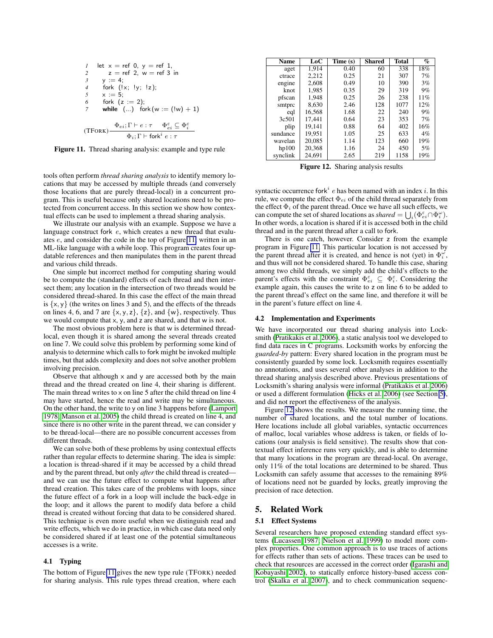| 1                                               | let $x = ref$ 0, $y = ref$ 1,                                                                     |
|-------------------------------------------------|---------------------------------------------------------------------------------------------------|
| 2                                               | $z = ref$ 2, $w = ref$ 3 in                                                                       |
| 3                                               | $y := 4$ ;                                                                                        |
| 4                                               | fork $(!x; !y; !z)$ ;                                                                             |
| 5                                               | $x := 5$ ;                                                                                        |
| 6                                               | fork $(z := 2)$ ;                                                                                 |
| 7                                               | while $(...)$ fork $(w := (!w) + 1)$                                                              |
| (TFORK)                                         | $\Phi_{ei}$ ; $\Gamma \vdash e : \tau$ $\Phi_{ei}^{\varepsilon} \subseteq \Phi_{i}^{\varepsilon}$ |
| $\Phi_{ij}$ ; $\Gamma \vdash$ fork $i e : \tau$ |                                                                                                   |

<span id="page-10-0"></span>Figure 11. Thread sharing analysis: example and type rule

tools often perform *thread sharing analysis* to identify memory locations that may be accessed by multiple threads (and conversely those locations that are purely thread-local) in a concurrent program. This is useful because only shared locations need to be protected from concurrent access. In this section we show how contextual effects can be used to implement a thread sharing analysis.

We illustrate our analysis with an example. Suppose we have a language construct fork e, which creates a new thread that evaluates e, and consider the code in the top of Figure [11,](#page-10-0) written in an ML-like language with a while loop. This program creates four updatable references and then manipulates them in the parent thread and various child threads.

One simple but incorrect method for computing sharing would be to compute the (standard) effects of each thread and then intersect them; any location in the intersection of two threads would be considered thread-shared. In this case the effect of the main thread is  $\{x, y\}$  (the writes on lines 3 and 5), and the effects of the threads on lines 4, 6, and 7 are  $\{x, y, z\}$ ,  $\{z\}$ , and  $\{w\}$ , respectively. Thus we would compute that x, y, and z are shared, and that w is not.

The most obvious problem here is that w is determined threadlocal, even though it is shared among the several threads created on line 7. We could solve this problem by performing some kind of analysis to determine which calls to fork might be invoked multiple times, but that adds complexity and does not solve another problem involving precision.

Observe that although  $\times$  and  $\times$  are accessed both by the main thread and the thread created on line 4, their sharing is different. The main thread writes to  $\times$  on line 5 after the child thread on line 4 may have started, hence the read and write may be simultaneous. On the other hand, the write to y on line 3 happens before [\(Lamport](#page-12-21) [1978;](#page-12-21) [Manson et al. 2005\)](#page-12-22) the child thread is created on line 4, and since there is no other write in the parent thread, we can consider y to be thread-local—there are no possible concurrent accesses from different threads.

We can solve both of these problems by using contextual effects rather than regular effects to determine sharing. The idea is simple: a location is thread-shared if it may be accessed by a child thread and by the parent thread, but only *after* the child thread is created and we can use the future effect to compute what happens after thread creation. This takes care of the problems with loops, since the future effect of a fork in a loop will include the back-edge in the loop; and it allows the parent to modify data before a child thread is created without forcing that data to be considered shared. This technique is even more useful when we distinguish read and write effects, which we do in practice, in which case data need only be considered shared if at least one of the potential simultaneous accesses is a write.

## 4.1 Typing

The bottom of Figure [11](#page-10-0) gives the new type rule (TFORK) needed for sharing analysis. This rule types thread creation, where each

| <b>Name</b> | LoC    | Time (s) | Shared | <b>Total</b> | $\%$  |
|-------------|--------|----------|--------|--------------|-------|
| aget        | 1,914  | 0.40     | 60     | 338          | 18%   |
| ctrace      | 2,212  | 0.25     | 21     | 307          | 7%    |
| engine      | 2,608  | 0.49     | 10     | 390          | 3%    |
| knot        | 1,985  | 0.35     | 29     | 319          | 9%    |
| pfscan      | 1,948  | 0.25     | 26     | 238          | 11%   |
| smtprc      | 8,630  | 2.46     | 128    | 1077         | 12%   |
| eql         | 16,568 | 1.68     | 22     | 240          | 9%    |
| 3c501       | 17.441 | 0.64     | 23     | 353          | 7%    |
| plip        | 19.141 | 0.88     | 64     | 402          | 16%   |
| sundance    | 19.951 | 1.05     | 25     | 633          | $4\%$ |
| wavelan     | 20,085 | 1.14     | 123    | 660          | 19%   |
| hp100       | 20,368 | 1.16     | 24     | 450          | 5%    |
| synclink    | 24.691 | 2.65     | 219    | 1158         | 19%   |

<span id="page-10-2"></span>Figure 12. Sharing analysis results

syntactic occurrence fork<sup>i</sup> e has been named with an index i. In this rule, we compute the effect  $\Phi_{ei}$  of the child thread separately from the effect  $\Phi_i$  of the parent thread. Once we have all such effects, we can compute the set of shared locations as *shared* =  $\bigcup_i (\Phi_{ei}^{\varepsilon} \cap \Phi_i^{\omega})$ . In other words, a location is shared if it is accessed both in the child thread and in the parent thread after a call to fork.

There is one catch, however. Consider z from the example program in Figure [11.](#page-10-0) This particular location is not accessed by the parent thread after it is created, and hence is not (yet) in  $\Phi_i^{\omega}$ , and thus will not be considered shared. To handle this case, sharing among two child threads, we simply add the child's effects to the parent's effects with the constraint  $\Phi_{ei}^{\varepsilon} \subseteq \Phi_i^{\varepsilon}$ . Considering the example again, this causes the write to z on line 6 to be added to the parent thread's effect on the same line, and therefore it will be in the parent's future effect on line 4.

#### 4.2 Implementation and Experiments

We have incorporated our thread sharing analysis into Locksmith [\(Pratikakis et al. 2006\)](#page-12-8), a static analysis tool we developed to find data races in C programs. Locksmith works by enforcing the *guarded-by* pattern: Every shared location in the program must be consistently guarded by some lock. Locksmith requires essentially no annotations, and uses several other analyses in addition to the thread sharing analysis described above. Previous presentations of Locksmith's sharing analysis were informal [\(Pratikakis et al. 2006\)](#page-12-8) or used a different formulation [\(Hicks et al. 2006\)](#page-12-7) (see Section [5\)](#page-10-1), and did not report the effectiveness of the analysis.

Figure [12](#page-10-2) shows the results. We measure the running time, the number of shared locations, and the total number of locations. Here locations include all global variables, syntactic occurrences of malloc, local variables whose address is taken, or fields of locations (our analysis is field sensitive). The results show that contextual effect inference runs very quickly, and is able to determine that many locations in the program are thread-local. On average, only 11% of the total locations are determined to be shared. Thus Locksmith can safely assume that accesses to the remaining 89% of locations need not be guarded by locks, greatly improving the precision of race detection.

## <span id="page-10-1"></span>5. Related Work

#### 5.1 Effect Systems

Several researchers have proposed extending standard effect systems [\(Lucassen 1987;](#page-12-0) [Nielson et al. 1999\)](#page-12-1) to model more complex properties. One common approach is to use traces of actions for effects rather than sets of actions. These traces can be used to check that resources are accessed in the correct order [\(Igarashi and](#page-12-23) [Kobayashi 2002\)](#page-12-23), to statically enforce history-based access control [\(Skalka et al. 2007\)](#page-12-3), and to check communication sequenc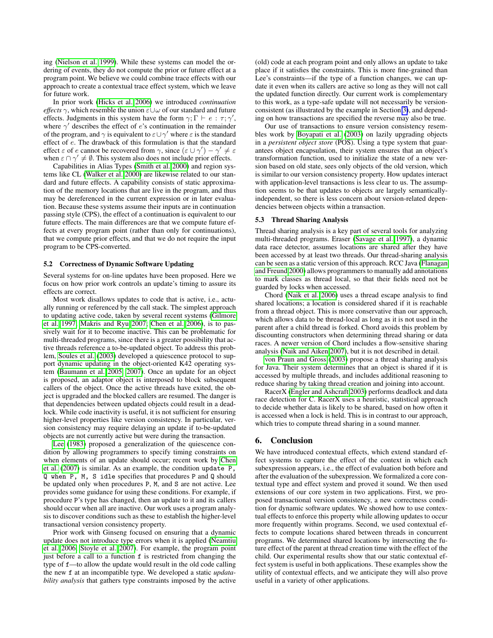ing [\(Nielson et al. 1999\)](#page-12-1). While these systems can model the ordering of events, they do not compute the prior or future effect at a program point. We believe we could combine trace effects with our approach to create a contextual trace effect system, which we leave for future work.

In prior work [\(Hicks et al. 2006\)](#page-12-7) we introduced *continuation effects*  $\gamma$ , which resemble the union  $\varepsilon \cup \omega$  of our standard and future effects. Judgments in this system have the form  $\gamma$ ;  $\Gamma \vdash e : \tau$ ;  $\gamma'$ , where  $\gamma'$  describes the effect of e's continuation in the remainder of the program, and  $\gamma$  is equivalent to  $\varepsilon \cup \gamma'$  where  $\varepsilon$  is the standard effect of e. The drawback of this formulation is that the standard effect  $\varepsilon$  of e cannot be recovered from  $\gamma$ , since  $(\varepsilon \cup \gamma') - \gamma' \neq \varepsilon$ when  $\varepsilon \cap \gamma' \neq \emptyset$ . This system also does not include prior effects.

Capabilities in Alias Types [\(Smith et al. 2000\)](#page-12-24) and region systems like CL [\(Walker et al. 2000\)](#page-12-25) are likewise related to our standard and future effects. A capability consists of static approximation of the memory locations that are live in the program, and thus may be dereferenced in the current expression or in later evaluation. Because these systems assume their inputs are in continuation passing style (CPS), the effect of a continuation is equivalent to our future effects. The main differences are that we compute future effects at every program point (rather than only for continuations), that we compute prior effects, and that we do not require the input program to be CPS-converted.

#### 5.2 Correctness of Dynamic Software Updating

Several systems for on-line updates have been proposed. Here we focus on how prior work controls an update's timing to assure its effects are correct.

Most work disallows updates to code that is active, i.e., actually running or referenced by the call stack. The simplest approach to updating active code, taken by several recent systems [\(Gilmore](#page-12-26) [et al. 1997;](#page-12-26) [Makris and Ryu 2007;](#page-12-27) [Chen et al. 2006\)](#page-12-28), is to passively wait for it to become inactive. This can be problematic for multi-threaded programs, since there is a greater possibility that active threads reference a to-be-updated object. To address this problem, [Soules et al.](#page-12-29) [\(2003\)](#page-12-29) developed a quiescence protocol to support dynamic updating in the object-oriented K42 operating system [\(Baumann et al. 2005,](#page-12-30) [2007\)](#page-12-12). Once an update for an object is proposed, an adaptor object is interposed to block subsequent callers of the object. Once the active threads have exited, the object is upgraded and the blocked callers are resumed. The danger is that dependencies between updated objects could result in a deadlock. While code inactivity is useful, it is not sufficient for ensuring higher-level properties like version consistency. In particular, version consistency may require delaying an update if to-be-updated objects are not currently active but were during the transaction.

[Lee](#page-12-31) [\(1983\)](#page-12-31) proposed a generalization of the quiescence condition by allowing programmers to specify timing constraints on when elements of an update should occur; recent work by [Chen](#page-12-32) [et al.](#page-12-32) [\(2007\)](#page-12-32) is similar. As an example, the condition update P, Q when P, M, S idle specifies that procedures P and Q should be updated only when procedures P, M, and S are not active. Lee provides some guidance for using these conditions. For example, if procedure P's type has changed, then an update to it and its callers should occur when all are inactive. Our work uses a program analysis to discover conditions such as these to establish the higher-level transactional version consistency property.

Prior work with Ginseng focused on ensuring that a dynamic update does not introduce type errors when it is applied [\(Neamtiu](#page-12-5) [et al. 2006;](#page-12-5) [Stoyle et al. 2007\)](#page-12-6). For example, the program point just before a call to a function f is restricted from changing the type of f—to allow the update would result in the old code calling the new f at an incompatible type. We developed a static *updatability analysis* that gathers type constraints imposed by the active (old) code at each program point and only allows an update to take place if it satisfies the constraints. This is more fine-grained than Lee's constraints—if the type of a function changes, we can update it even when its callers are active so long as they will not call the updated function directly. Our current work is complementary to this work, as a type-safe update will not necessarily be versionconsistent (as illustrated by the example in Section [3\)](#page-4-0), and depending on how transactions are specified the reverse may also be true.

Our use of transactions to ensure version consistency resembles work by [Boyapati et al.](#page-12-33) [\(2003\)](#page-12-33) on lazily upgrading objects in a *persistent object store* (POS). Using a type system that guarantees object encapsulation, their system ensures that an object's transformation function, used to initialize the state of a new version based on old state, sees only objects of the old version, which is similar to our version consistency property. How updates interact with application-level transactions is less clear to us. The assumption seems to be that updates to objects are largely semanticallyindependent, so there is less concern about version-related dependencies between objects within a transaction.

#### 5.3 Thread Sharing Analysis

Thread sharing analysis is a key part of several tools for analyzing multi-threaded programs. Eraser [\(Savage et al. 1997\)](#page-12-18), a dynamic data race detector, assumes locations are shared after they have been accessed by at least two threads. Our thread-sharing analysis can be seen as a static version of this approach. RCC Java [\(Flanagan](#page-12-19) [and Freund 2000\)](#page-12-19) allows programmers to manually add annotations to mark classes as thread local, so that their fields need not be guarded by locks when accessed.

Chord [\(Naik et al. 2006\)](#page-12-20) uses a thread escape analysis to find shared locations; a location is considered shared if it is reachable from a thread object. This is more conservative than our approach, which allows data to be thread-local as long as it is not used in the parent after a child thread is forked. Chord avoids this problem by discounting constructors when determining thread sharing or data races. A newer version of Chord includes a flow-sensitive sharing analysis [\(Naik and Aiken 2007\)](#page-12-34), but it is not described in detail.

[von Praun and Gross](#page-12-35) [\(2003\)](#page-12-35) propose a thread sharing analysis for Java. Their system determines that an object is shared if it is accessed by multiple threads, and includes additional reasoning to reduce sharing by taking thread creation and joining into account.

RacerX [\(Engler and Ashcraft 2003\)](#page-12-36) performs deadlock and data race detection for C. RacerX uses a heuristic, statistical approach to decide whether data is likely to be shared, based on how often it is accessed when a lock is held. This is in contrast to our approach, which tries to compute thread sharing in a sound manner.

## 6. Conclusion

We have introduced contextual effects, which extend standard effect systems to capture the effect of the context in which each subexpression appears, i.e., the effect of evaluation both before and after the evaluation of the subexpression. We formalized a core contextual type and effect system and proved it sound. We then used extensions of our core system in two applications. First, we proposed transactional version consistency, a new correctness condition for dynamic software updates. We showed how to use contextual effects to enforce this property while allowing updates to occur more frequently within programs. Second, we used contextual effects to compute locations shared between threads in concurrent programs. We determined shared locations by intersecting the future effect of the parent at thread creation time with the effect of the child. Our experimental results show that our static contextual effect system is useful in both applications. These examples show the utility of contextual effects, and we anticipate they will also prove useful in a variety of other applications.